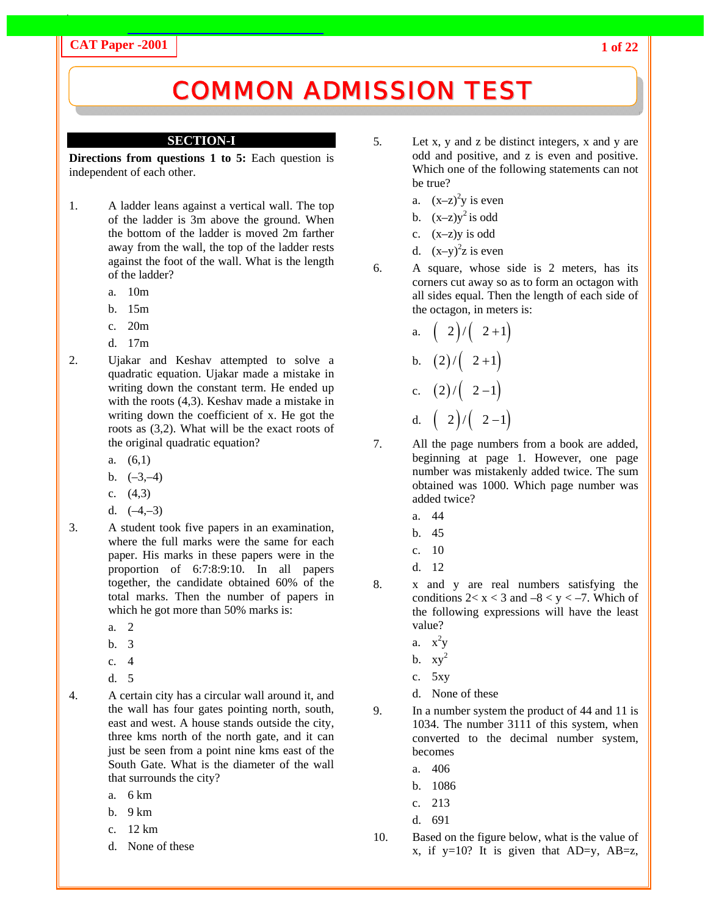# **CAT Paper -2001**

# COMMON ADMISSION TEST

# **SECTION-I**

**Directions from questions 1 to 5:** Each question is independent of each other.

- 1. A ladder leans against a vertical wall. The top of the ladder is 3m above the ground. When the bottom of the ladder is moved 2m farther away from the wall, the top of the ladder rests against the foot of the wall. What is the length of the ladder?
	- a. 10m
	- b. 15m
	- c. 20m
	- d. 17m
- 2. Ujakar and Keshav attempted to solve a quadratic equation. Ujakar made a mistake in writing down the constant term. He ended up with the roots (4,3). Keshav made a mistake in writing down the coefficient of x. He got the roots as (3,2). What will be the exact roots of the original quadratic equation?
	- a. (6,1)
	- b.  $(-3,-4)$
	- c. (4,3)
	- d.  $(-4,-3)$
- 3. A student took five papers in an examination, where the full marks were the same for each paper. His marks in these papers were in the proportion of 6:7:8:9:10. In all papers together, the candidate obtained 60% of the total marks. Then the number of papers in which he got more than 50% marks is:
	- a. 2
	- b. 3
	- c. 4
	- d. 5
- 4. A certain city has a circular wall around it, and the wall has four gates pointing north, south, east and west. A house stands outside the city, three kms north of the north gate, and it can just be seen from a point nine kms east of the South Gate. What is the diameter of the wall that surrounds the city?
	- a. 6 km
	- b. 9 km
	- c. 12 km
	- d. None of these
- 5. Let x, y and z be distinct integers, x and y are odd and positive, and z is even and positive. Which one of the following statements can not be true?
	- a.  $(x-z)^2y$  is even
	- b.  $(x-z)y^2$  is odd
	- c. (x–z)y is odd
	- d.  $(x-y)^2$ z is even
- 6. A square, whose side is 2 meters, has its corners cut away so as to form an octagon with all sides equal. Then the length of each side of the octagon, in meters is:
	- a.  $\binom{2}{\ell}$  2 + 1) b.  $(2)/(-2+1)$ c.  $(2)/(-2-1)$ d.  $\binom{2}{2}$
	-
- 7. All the page numbers from a book are added, beginning at page 1. However, one page number was mistakenly added twice. The sum obtained was 1000. Which page number was added twice?
	- a. 44
	- b. 45
	- c. 10
	- d. 12
- 8. x and y are real numbers satisfying the conditions  $2 < x < 3$  and  $-8 < y < -7$ . Which of the following expressions will have the least value?
	- a.  $x^2y$
	- b.  $xy^2$
	- c. 5xy
	- d. None of these
- 9. In a number system the product of 44 and 11 is 1034. The number 3111 of this system, when converted to the decimal number system, becomes
	- a. 406
	- b. 1086
	- c. 213
	- d. 691
- 10. Based on the figure below, what is the value of x, if  $y=10$ ? It is given that AD=y, AB=z,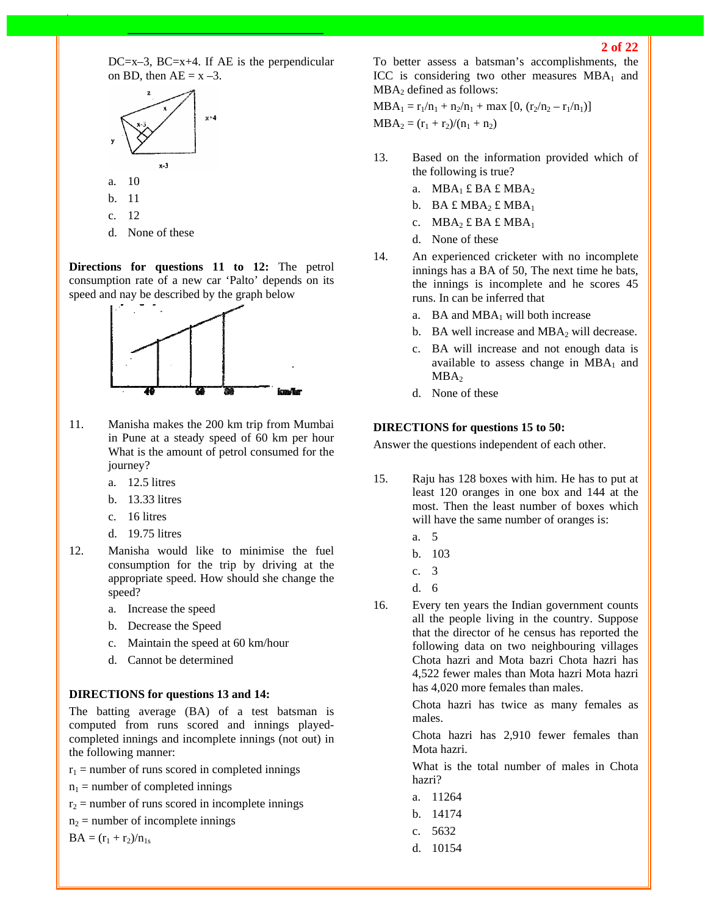DC=x–3, BC=x+4. If AE is the perpendicular on BD, then  $AE = x -3$ .



- b. 11
- c. 12
- d. None of these

**Directions for questions 11 to 12:** The petrol consumption rate of a new car 'Palto' depends on its speed and nay be described by the graph below



- 11. Manisha makes the 200 km trip from Mumbai in Pune at a steady speed of 60 km per hour What is the amount of petrol consumed for the journey?
	- a. 12.5 litres
	- b. 13.33 litres
	- c. 16 litres
	- d. 19.75 litres
- 12. Manisha would like to minimise the fuel consumption for the trip by driving at the appropriate speed. How should she change the speed?
	- a. Increase the speed
	- b. Decrease the Speed
	- c. Maintain the speed at 60 km/hour
	- d. Cannot be determined

## **DIRECTIONS for questions 13 and 14:**

The batting average (BA) of a test batsman is computed from runs scored and innings playedcompleted innings and incomplete innings (not out) in the following manner:

 $r_1$  = number of runs scored in completed innings

- $n_1$  = number of completed innings
- $r_2$  = number of runs scored in incomplete innings

 $n_2$  = number of incomplete innings

 $BA = (r_1 + r_2)/n_{1s}$ 

To better assess a batsman's accomplishments, the ICC is considering two other measures  $MBA<sub>1</sub>$  and MBA2 defined as follows:

 $MBA_1 = r_1/n_1 + n_2/n_1 + max [0, (r_2/n_2 - r_1/n_1)]$  $MBA_2 = (r_1 + r_2)/(n_1 + n_2)$ 

- 13. Based on the information provided which of the following is true?
	- a.  $MBA_1 \pounds BA \pounds MBA_2$
	- b. BA  $£$  MBA<sub>2</sub> £ MBA<sub>1</sub>
	- c.  $MBA_2 \pounds BA \pounds MBA_1$
	- d. None of these
- 14. An experienced cricketer with no incomplete innings has a BA of 50, The next time he bats, the innings is incomplete and he scores 45 runs. In can be inferred that
	- a. BA and  $MBA<sub>1</sub>$  will both increase
	- b. BA well increase and  $MBA<sub>2</sub>$  will decrease.
	- c. BA will increase and not enough data is available to assess change in  $MBA<sub>1</sub>$  and  $MBA<sub>2</sub>$
	- d. None of these

# **DIRECTIONS for questions 15 to 50:**

Answer the questions independent of each other.

- 15. Raju has 128 boxes with him. He has to put at least 120 oranges in one box and 144 at the most. Then the least number of boxes which will have the same number of oranges is:
	- a. 5
	- b. 103
	- c. 3
	- d. 6
- 16. Every ten years the Indian government counts all the people living in the country. Suppose that the director of he census has reported the following data on two neighbouring villages Chota hazri and Mota bazri Chota hazri has 4,522 fewer males than Mota hazri Mota hazri has 4,020 more females than males.

Chota hazri has twice as many females as males.

Chota hazri has 2,910 fewer females than Mota hazri.

What is the total number of males in Chota hazri?

- a. 11264
- b. 14174
- c. 5632
- d. 10154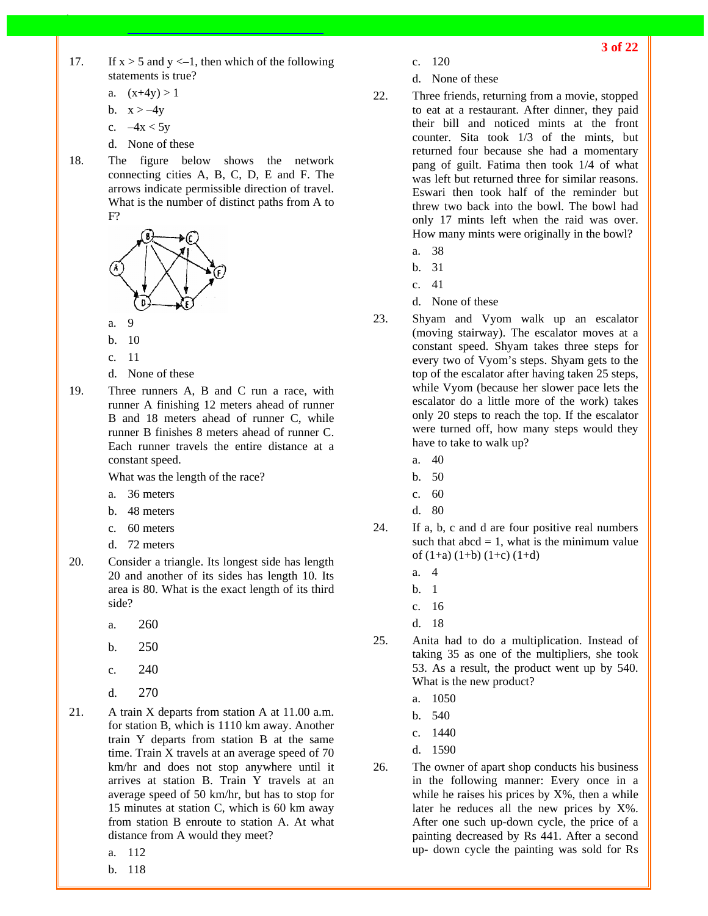- 17. If  $x > 5$  and  $y < -1$ , then which of the following statements is true?
	- a.  $(x+4y) > 1$
	- b.  $x > -4y$
	- c.  $-4x < 5y$
	- d. None of these
- 18. The figure below shows the network connecting cities A, B, C, D, E and F. The arrows indicate permissible direction of travel. What is the number of distinct paths from A to F?



- b. 10
- c. 11
- d. None of these
- 19. Three runners A, B and C run a race, with runner A finishing 12 meters ahead of runner B and 18 meters ahead of runner C, while runner B finishes 8 meters ahead of runner C. Each runner travels the entire distance at a constant speed.

What was the length of the race?

- a. 36 meters
- b. 48 meters
- c. 60 meters
- d. 72 meters
- 20. Consider a triangle. Its longest side has length 20 and another of its sides has length 10. Its area is 80. What is the exact length of its third side?
	- a. 260
	- b. 250
	- c. 240
	- d. 270
- 21. A train X departs from station A at 11.00 a.m. for station B, which is 1110 km away. Another train Y departs from station B at the same time. Train X travels at an average speed of 70 km/hr and does not stop anywhere until it arrives at station B. Train Y travels at an average speed of 50 km/hr, but has to stop for 15 minutes at station C, which is 60 km away from station B enroute to station A. At what distance from A would they meet?
	- a. 112
	- b. 118
- c. 120
- d. None of these
- 22. Three friends, returning from a movie, stopped to eat at a restaurant. After dinner, they paid their bill and noticed mints at the front counter. Sita took 1/3 of the mints, but returned four because she had a momentary pang of guilt. Fatima then took 1/4 of what was left but returned three for similar reasons. Eswari then took half of the reminder but threw two back into the bowl. The bowl had only 17 mints left when the raid was over. How many mints were originally in the bowl?
	- a. 38
	- b. 31
	- c. 41
	- d. None of these
- 23. Shyam and Vyom walk up an escalator (moving stairway). The escalator moves at a constant speed. Shyam takes three steps for every two of Vyom's steps. Shyam gets to the top of the escalator after having taken 25 steps, while Vyom (because her slower pace lets the escalator do a little more of the work) takes only 20 steps to reach the top. If the escalator were turned off, how many steps would they have to take to walk up?
	- a. 40
	- b. 50
	- c. 60
	- d. 80
- 24. If a, b, c and d are four positive real numbers such that  $abcd = 1$ , what is the minimum value of  $(1+a)$   $(1+b)$   $(1+c)$   $(1+d)$ 
	- a. 4
	- b. 1
	- c. 16
	- d. 18
- 25. Anita had to do a multiplication. Instead of taking 35 as one of the multipliers, she took 53. As a result, the product went up by 540. What is the new product?
	- a. 1050
	- b. 540
	- c. 1440
	- d. 1590
- 26. The owner of apart shop conducts his business in the following manner: Every once in a while he raises his prices by X%, then a while later he reduces all the new prices by X%. After one such up-down cycle, the price of a painting decreased by Rs 441. After a second up- down cycle the painting was sold for Rs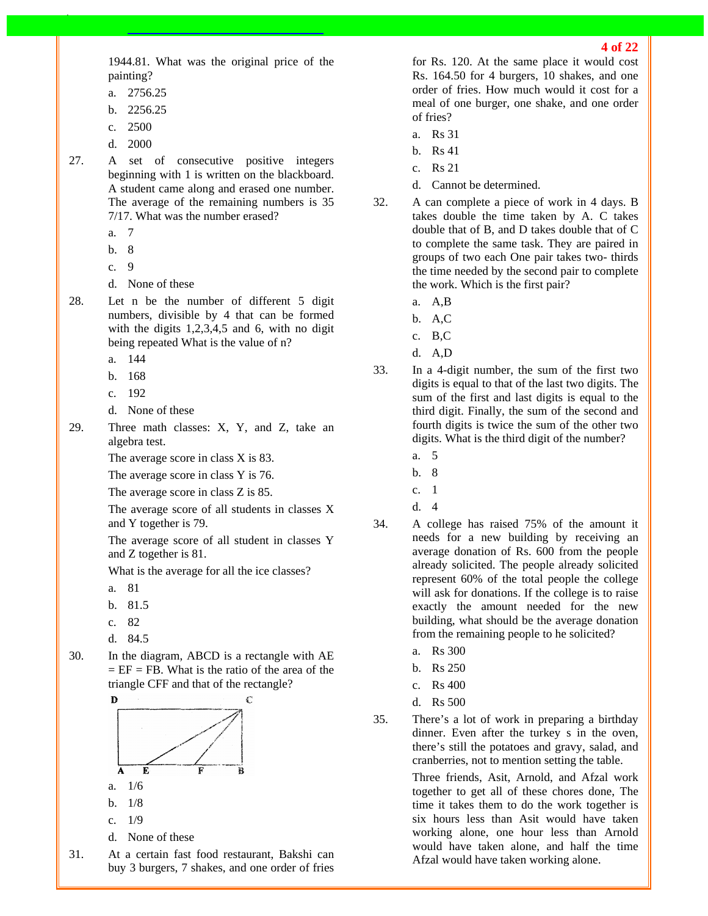1944.81. What was the original price of the painting?

- a. 2756.25
- b. 2256.25
- c. 2500
- d. 2000
- 27. A set of consecutive positive integers beginning with 1 is written on the blackboard. A student came along and erased one number. The average of the remaining numbers is 35 7/17. What was the number erased?
	- $\mathbf{a}$
	- b. 8
	- c. 9
	- d. None of these
- 28. Let n be the number of different 5 digit numbers, divisible by 4 that can be formed with the digits  $1,2,3,4,5$  and 6, with no digit being repeated What is the value of n?
	- a. 144
	- b. 168
	- c. 192
	- d. None of these
- 29. Three math classes: X, Y, and Z, take an algebra test.

The average score in class X is 83.

The average score in class Y is 76.

The average score in class Z is 85.

The average score of all students in classes X and Y together is 79.

The average score of all student in classes Y and Z together is 81.

What is the average for all the ice classes?

- a. 81
- b. 81.5
- c. 82
- d. 84.5
- 30. In the diagram, ABCD is a rectangle with AE  $= EF = FB$ . What is the ratio of the area of the triangle CFF and that of the rectangle?



- d. None of these
- 31. At a certain fast food restaurant, Bakshi can buy 3 burgers, 7 shakes, and one order of fries

for Rs. 120. At the same place it would cost Rs. 164.50 for 4 burgers, 10 shakes, and one order of fries. How much would it cost for a meal of one burger, one shake, and one order of fries?

- a. Rs 31
- b. Rs 41
- c. Rs 21
- d. Cannot be determined.
- 32. A can complete a piece of work in 4 days. B takes double the time taken by A. C takes double that of B, and D takes double that of C to complete the same task. They are paired in groups of two each One pair takes two- thirds the time needed by the second pair to complete the work. Which is the first pair?
	- a. A,B
	- b. A,C
	- c. B,C
	- d. A,D
- 33. In a 4-digit number, the sum of the first two digits is equal to that of the last two digits. The sum of the first and last digits is equal to the third digit. Finally, the sum of the second and fourth digits is twice the sum of the other two digits. What is the third digit of the number?
	- a. 5
	- b. 8
	- c. 1
	- d. 4
- 34. A college has raised 75% of the amount it needs for a new building by receiving an average donation of Rs. 600 from the people already solicited. The people already solicited represent 60% of the total people the college will ask for donations. If the college is to raise exactly the amount needed for the new building, what should be the average donation from the remaining people to he solicited?
	- a. Rs 300
	- b. Rs 250
	- c. Rs 400
	- d. Rs 500
- 35. There's a lot of work in preparing a birthday dinner. Even after the turkey s in the oven, there's still the potatoes and gravy, salad, and cranberries, not to mention setting the table.

Three friends, Asit, Arnold, and Afzal work together to get all of these chores done, The time it takes them to do the work together is six hours less than Asit would have taken working alone, one hour less than Arnold would have taken alone, and half the time Afzal would have taken working alone.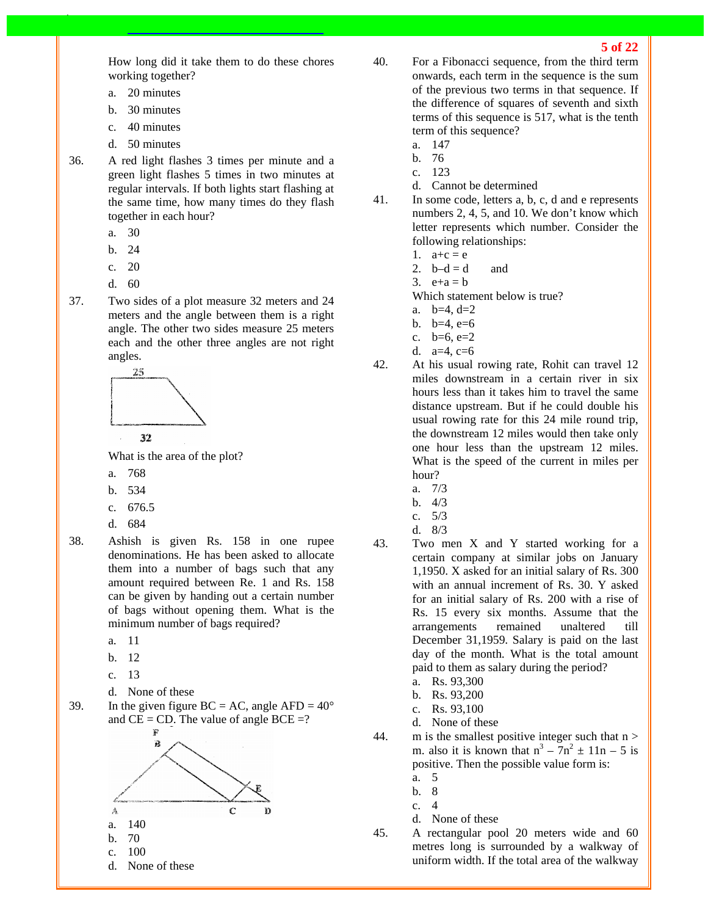How long did it take them to do these chores working together?

- a. 20 minutes
- b. 30 minutes
- c. 40 minutes
- d. 50 minutes
- 36. A red light flashes 3 times per minute and a green light flashes 5 times in two minutes at regular intervals. If both lights start flashing at the same time, how many times do they flash together in each hour?
	- a. 30
	- b. 24
	- c. 20
	- d. 60
- 37. Two sides of a plot measure 32 meters and 24 meters and the angle between them is a right angle. The other two sides measure 25 meters each and the other three angles are not right angles.



What is the area of the plot?

- a. 768
- b. 534
- c. 676.5
- d. 684
- 38. Ashish is given Rs. 158 in one rupee denominations. He has been asked to allocate them into a number of bags such that any amount required between Re. 1 and Rs. 158 can be given by handing out a certain number of bags without opening them. What is the minimum number of bags required?
	- a. 11
	- b. 12
	- c. 13
	- d. None of these

39. In the given figure  $BC = AC$ , angle  $AFD = 40^{\circ}$ and  $CE = CD$ . The value of angle  $BCE = ?$ 



- 
- 40. For a Fibonacci sequence, from the third term onwards, each term in the sequence is the sum of the previous two terms in that sequence. If the difference of squares of seventh and sixth terms of this sequence is 517, what is the tenth term of this sequence?
	- a. 147
	- b. 76
	- c. 123
	- d. Cannot be determined
- 41. In some code, letters a, b, c, d and e represents numbers 2, 4, 5, and 10. We don't know which letter represents which number. Consider the following relationships:
	- 1.  $a+c = e$
	- 2.  $b-d = d$  and
	- 3.  $e+a=b$

Which statement below is true?

- a.  $b=4$ ,  $d=2$
- b.  $b=4$ ,  $e=6$
- c.  $b=6, e=2$
- d.  $a=4, c=6$
- 42. At his usual rowing rate, Rohit can travel 12 miles downstream in a certain river in six hours less than it takes him to travel the same distance upstream. But if he could double his usual rowing rate for this 24 mile round trip, the downstream 12 miles would then take only one hour less than the upstream 12 miles. What is the speed of the current in miles per hour?
	- a. 7/3
	- b. 4/3
	- c. 5/3
	- d. 8/3
- 43. Two men X and Y started working for a certain company at similar jobs on January 1,1950. X asked for an initial salary of Rs. 300 with an annual increment of Rs. 30. Y asked for an initial salary of Rs. 200 with a rise of Rs. 15 every six months. Assume that the arrangements remained unaltered till December 31,1959. Salary is paid on the last day of the month. What is the total amount paid to them as salary during the period?
	- a. Rs. 93,300
	- b. Rs. 93,200
	- c. Rs. 93,100
	- d. None of these
- 44. m is the smallest positive integer such that  $n >$ m. also it is known that  $n^3 - 7n^2 \pm 11n - 5$  is positive. Then the possible value form is:
	- a. 5
	- b. 8
	- c. 4
	- d. None of these
- 45. A rectangular pool 20 meters wide and 60 metres long is surrounded by a walkway of uniform width. If the total area of the walkway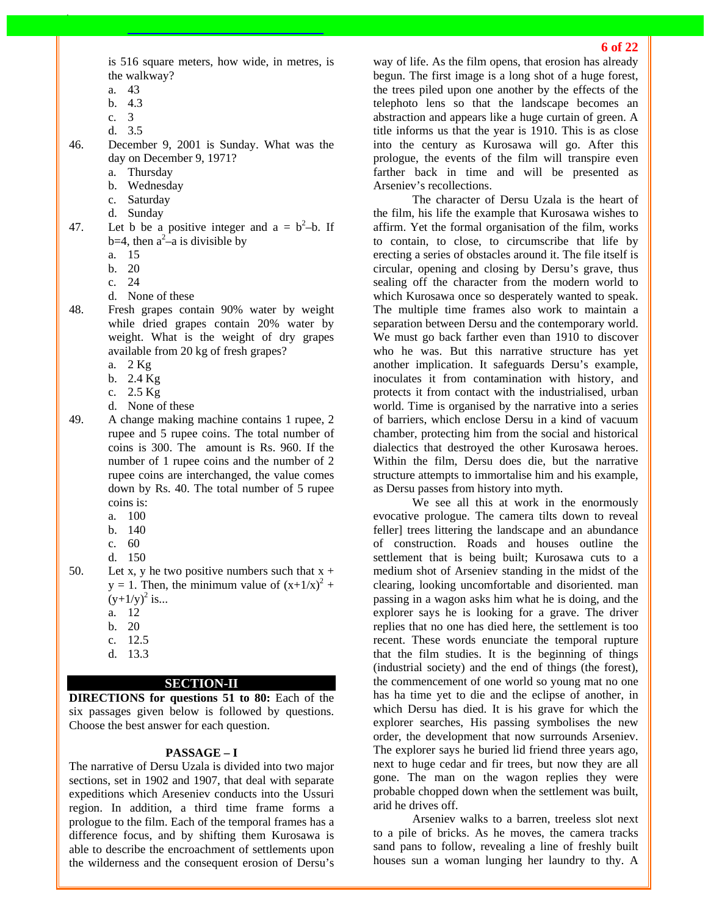is 516 square meters, how wide, in metres, is the walkway?

- b. 4.3
- c. 3
- d. 3.5
- 46. December 9, 2001 is Sunday. What was the day on December 9, 1971?
	- a. Thursday
	- b. Wednesday
	- c. Saturday
	- d. Sunday
- 47. Let b be a positive integer and  $a = b^2-b$ . If b=4, then  $a^2$ —a is divisible by
	- a. 15
	- b. 20
	- c. 24
	- d. None of these
- 48. Fresh grapes contain 90% water by weight while dried grapes contain 20% water by weight. What is the weight of dry grapes available from 20 kg of fresh grapes?
	- a. 2 Kg
	- b. 2.4 Kg
	- c. 2.5 Kg
	- d. None of these
- 49. A change making machine contains 1 rupee, 2 rupee and 5 rupee coins. The total number of coins is 300. The amount is Rs. 960. If the number of 1 rupee coins and the number of 2 rupee coins are interchanged, the value comes down by Rs. 40. The total number of 5 rupee coins is:
	- a. 100
	- b. 140
	- c. 60
	- d. 150
- 50. Let x, y he two positive numbers such that  $x +$  $y = 1$ . Then, the minimum value of  $(x+1/x)^2$  +  $(y+1/y)^2$  is...
	- a. 12
	- b. 20
	- c. 12.5
	- d. 13.3

#### **SECTION-II**

**DIRECTIONS for questions 51 to 80:** Each of the six passages given below is followed by questions. Choose the best answer for each question.

## **PASSAGE – I**

The narrative of Dersu Uzala is divided into two major sections, set in 1902 and 1907, that deal with separate expeditions which Areseniev conducts into the Ussuri region. In addition, a third time frame forms a prologue to the film. Each of the temporal frames has a difference focus, and by shifting them Kurosawa is able to describe the encroachment of settlements upon the wilderness and the consequent erosion of Dersu's

way of life. As the film opens, that erosion has already begun. The first image is a long shot of a huge forest, the trees piled upon one another by the effects of the telephoto lens so that the landscape becomes an abstraction and appears like a huge curtain of green. A title informs us that the year is 1910. This is as close into the century as Kurosawa will go. After this prologue, the events of the film will transpire even farther back in time and will be presented as Arseniev's recollections.

 The character of Dersu Uzala is the heart of the film, his life the example that Kurosawa wishes to affirm. Yet the formal organisation of the film, works to contain, to close, to circumscribe that life by erecting a series of obstacles around it. The file itself is circular, opening and closing by Dersu's grave, thus sealing off the character from the modern world to which Kurosawa once so desperately wanted to speak. The multiple time frames also work to maintain a separation between Dersu and the contemporary world. We must go back farther even than 1910 to discover who he was. But this narrative structure has yet another implication. It safeguards Dersu's example, inoculates it from contamination with history, and protects it from contact with the industrialised, urban world. Time is organised by the narrative into a series of barriers, which enclose Dersu in a kind of vacuum chamber, protecting him from the social and historical dialectics that destroyed the other Kurosawa heroes. Within the film, Dersu does die, but the narrative structure attempts to immortalise him and his example, as Dersu passes from history into myth.

 We see all this at work in the enormously evocative prologue. The camera tilts down to reveal feller] trees littering the landscape and an abundance of construction. Roads and houses outline the settlement that is being built; Kurosawa cuts to a medium shot of Arseniev standing in the midst of the clearing, looking uncomfortable and disoriented. man passing in a wagon asks him what he is doing, and the explorer says he is looking for a grave. The driver replies that no one has died here, the settlement is too recent. These words enunciate the temporal rupture that the film studies. It is the beginning of things (industrial society) and the end of things (the forest), the commencement of one world so young mat no one has ha time yet to die and the eclipse of another, in which Dersu has died. It is his grave for which the explorer searches, His passing symbolises the new order, the development that now surrounds Arseniev. The explorer says he buried lid friend three years ago, next to huge cedar and fir trees, but now they are all gone. The man on the wagon replies they were probable chopped down when the settlement was built, arid he drives off.

 Arseniev walks to a barren, treeless slot next to a pile of bricks. As he moves, the camera tracks sand pans to follow, revealing a line of freshly built houses sun a woman lunging her laundry to thy. A

a. 43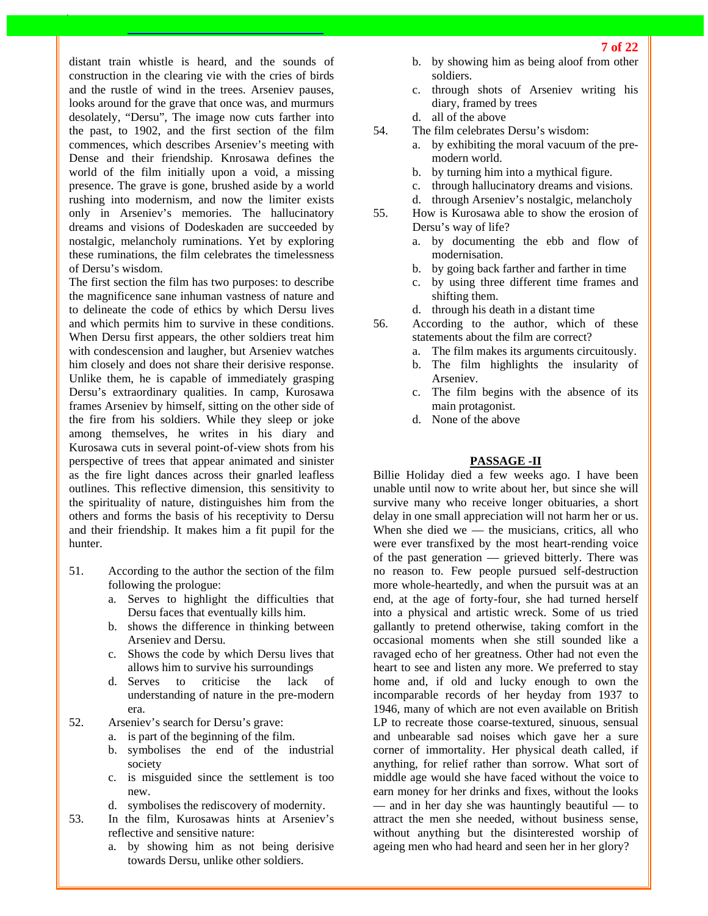distant train whistle is heard, and the sounds of construction in the clearing vie with the cries of birds and the rustle of wind in the trees. Arseniev pauses, looks around for the grave that once was, and murmurs desolately, "Dersu", The image now cuts farther into the past, to 1902, and the first section of the film commences, which describes Arseniev's meeting with Dense and their friendship. Knrosawa defines the world of the film initially upon a void, a missing presence. The grave is gone, brushed aside by a world rushing into modernism, and now the limiter exists only in Arseniev's memories. The hallucinatory dreams and visions of Dodeskaden are succeeded by nostalgic, melancholy ruminations. Yet by exploring these ruminations, the film celebrates the timelessness of Dersu's wisdom.

The first section the film has two purposes: to describe the magnificence sane inhuman vastness of nature and to delineate the code of ethics by which Dersu lives and which permits him to survive in these conditions. When Dersu first appears, the other soldiers treat him with condescension and laugher, but Arseniev watches him closely and does not share their derisive response. Unlike them, he is capable of immediately grasping Dersu's extraordinary qualities. In camp, Kurosawa frames Arseniev by himself, sitting on the other side of the fire from his soldiers. While they sleep or joke among themselves, he writes in his diary and Kurosawa cuts in several point-of-view shots from his perspective of trees that appear animated and sinister as the fire light dances across their gnarled leafless outlines. This reflective dimension, this sensitivity to the spirituality of nature, distinguishes him from the others and forms the basis of his receptivity to Dersu and their friendship. It makes him a fit pupil for the hunter.

- 51. According to the author the section of the film following the prologue:
	- a. Serves to highlight the difficulties that Dersu faces that eventually kills him.
	- b. shows the difference in thinking between Arseniev and Dersu.
	- c. Shows the code by which Dersu lives that allows him to survive his surroundings
	- d. Serves to criticise the lack of understanding of nature in the pre-modern era.
- 52. Arseniev's search for Dersu's grave:
	- a. is part of the beginning of the film.
	- b. symbolises the end of the industrial society
	- c. is misguided since the settlement is too new.
	- d. symbolises the rediscovery of modernity.
- 53. In the film, Kurosawas hints at Arseniev's reflective and sensitive nature:
	- a. by showing him as not being derisive towards Dersu, unlike other soldiers.
- b. by showing him as being aloof from other soldiers.
- c. through shots of Arseniev writing his diary, framed by trees
- d. all of the above
- 54. The film celebrates Dersu's wisdom:
	- a. by exhibiting the moral vacuum of the premodern world.
	- b. by turning him into a mythical figure.
	- c. through hallucinatory dreams and visions.
	- d. through Arseniev's nostalgic, melancholy
- 55. How is Kurosawa able to show the erosion of Dersu's way of life?
	- a. by documenting the ebb and flow of modernisation.
	- b. by going back farther and farther in time
	- c. by using three different time frames and shifting them.
	- d. through his death in a distant time
- 56. According to the author, which of these statements about the film are correct?
	- a. The film makes its arguments circuitously.
	- b. The film highlights the insularity of Arseniev.
	- c. The film begins with the absence of its main protagonist.
	- d. None of the above

## **PASSAGE -II**

Billie Holiday died a few weeks ago. I have been unable until now to write about her, but since she will survive many who receive longer obituaries, a short delay in one small appreciation will not harm her or us. When she died we  $-$  the musicians, critics, all who were ever transfixed by the most heart-rending voice of the past generation — grieved bitterly. There was no reason to. Few people pursued self-destruction more whole-heartedly, and when the pursuit was at an end, at the age of forty-four, she had turned herself into a physical and artistic wreck. Some of us tried gallantly to pretend otherwise, taking comfort in the occasional moments when she still sounded like a ravaged echo of her greatness. Other had not even the heart to see and listen any more. We preferred to stay home and, if old and lucky enough to own the incomparable records of her heyday from 1937 to 1946, many of which are not even available on British LP to recreate those coarse-textured, sinuous, sensual and unbearable sad noises which gave her a sure corner of immortality. Her physical death called, if anything, for relief rather than sorrow. What sort of middle age would she have faced without the voice to earn money for her drinks and fixes, without the looks — and in her day she was hauntingly beautiful — to attract the men she needed, without business sense, without anything but the disinterested worship of ageing men who had heard and seen her in her glory?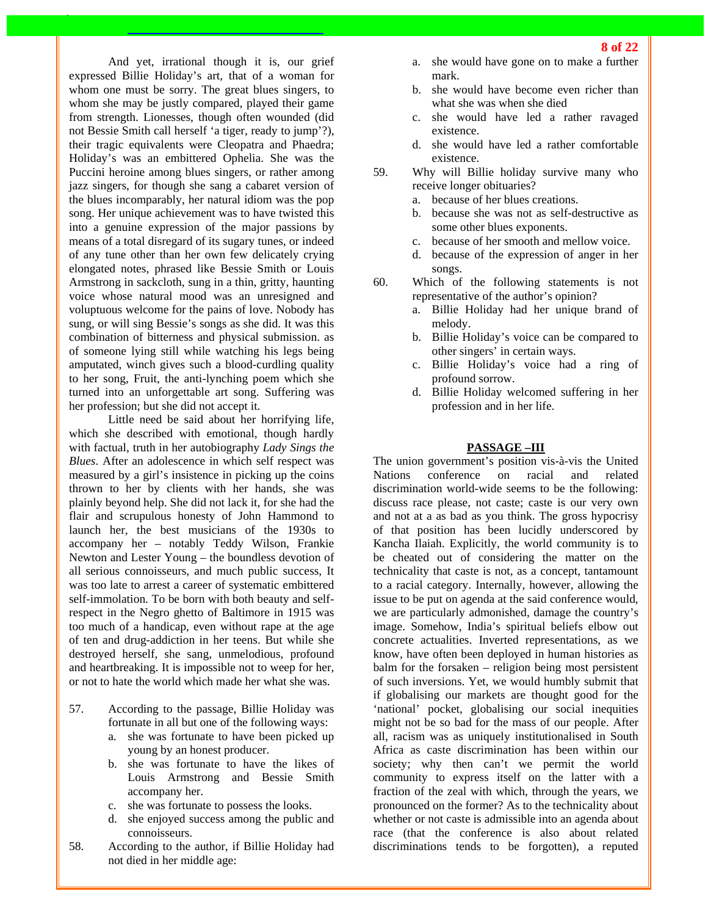And yet, irrational though it is, our grief expressed Billie Holiday's art, that of a woman for whom one must be sorry. The great blues singers, to whom she may be justly compared, played their game from strength. Lionesses, though often wounded (did not Bessie Smith call herself 'a tiger, ready to jump'?), their tragic equivalents were Cleopatra and Phaedra; Holiday's was an embittered Ophelia. She was the Puccini heroine among blues singers, or rather among jazz singers, for though she sang a cabaret version of the blues incomparably, her natural idiom was the pop song. Her unique achievement was to have twisted this into a genuine expression of the major passions by means of a total disregard of its sugary tunes, or indeed of any tune other than her own few delicately crying elongated notes, phrased like Bessie Smith or Louis Armstrong in sackcloth, sung in a thin, gritty, haunting voice whose natural mood was an unresigned and voluptuous welcome for the pains of love. Nobody has sung, or will sing Bessie's songs as she did. It was this combination of bitterness and physical submission. as of someone lying still while watching his legs being amputated, winch gives such a blood-curdling quality to her song, Fruit, the anti-lynching poem which she turned into an unforgettable art song. Suffering was her profession; but she did not accept it.

Little need be said about her horrifying life, which she described with emotional, though hardly with factual, truth in her autobiography *Lady Sings the Blues*. After an adolescence in which self respect was measured by a girl's insistence in picking up the coins thrown to her by clients with her hands, she was plainly beyond help. She did not lack it, for she had the flair and scrupulous honesty of John Hammond to launch her, the best musicians of the 1930s to accompany her – notably Teddy Wilson, Frankie Newton and Lester Young – the boundless devotion of all serious connoisseurs, and much public success, It was too late to arrest a career of systematic embittered self-immolation. To be born with both beauty and selfrespect in the Negro ghetto of Baltimore in 1915 was too much of a handicap, even without rape at the age of ten and drug-addiction in her teens. But while she destroyed herself, she sang, unmelodious, profound and heartbreaking. It is impossible not to weep for her, or not to hate the world which made her what she was.

- 57. According to the passage, Billie Holiday was fortunate in all but one of the following ways:
	- a. she was fortunate to have been picked up young by an honest producer.
	- b. she was fortunate to have the likes of Louis Armstrong and Bessie Smith accompany her.
	- c. she was fortunate to possess the looks.
	- d. she enjoyed success among the public and connoisseurs.
- 58. According to the author, if Billie Holiday had not died in her middle age:

**8 of 22**

- b. she would have become even richer than what she was when she died
- c. she would have led a rather ravaged existence.
- d. she would have led a rather comfortable existence.
- 59. Why will Billie holiday survive many who receive longer obituaries?
	- a. because of her blues creations.
	- b. because she was not as self-destructive as some other blues exponents.
	- c. because of her smooth and mellow voice.
	- d. because of the expression of anger in her songs.
- 60. Which of the following statements is not representative of the author's opinion?
	- a. Billie Holiday had her unique brand of melody.
	- b. Billie Holiday's voice can be compared to other singers' in certain ways.
	- c. Billie Holiday's voice had a ring of profound sorrow.
	- d. Billie Holiday welcomed suffering in her profession and in her life.

# **PASSAGE –III**

The union government's position vis-à-vis the United Nations conference on racial and related discrimination world-wide seems to be the following: discuss race please, not caste; caste is our very own and not at a as bad as you think. The gross hypocrisy of that position has been lucidly underscored by Kancha Ilaiah. Explicitly, the world community is to be cheated out of considering the matter on the technicality that caste is not, as a concept, tantamount to a racial category. Internally, however, allowing the issue to be put on agenda at the said conference would, we are particularly admonished, damage the country's image. Somehow, India's spiritual beliefs elbow out concrete actualities. Inverted representations, as we know, have often been deployed in human histories as balm for the forsaken – religion being most persistent of such inversions. Yet, we would humbly submit that if globalising our markets are thought good for the 'national' pocket, globalising our social inequities might not be so bad for the mass of our people. After all, racism was as uniquely institutionalised in South Africa as caste discrimination has been within our society; why then can't we permit the world community to express itself on the latter with a fraction of the zeal with which, through the years, we pronounced on the former? As to the technicality about whether or not caste is admissible into an agenda about race (that the conference is also about related discriminations tends to be forgotten), a reputed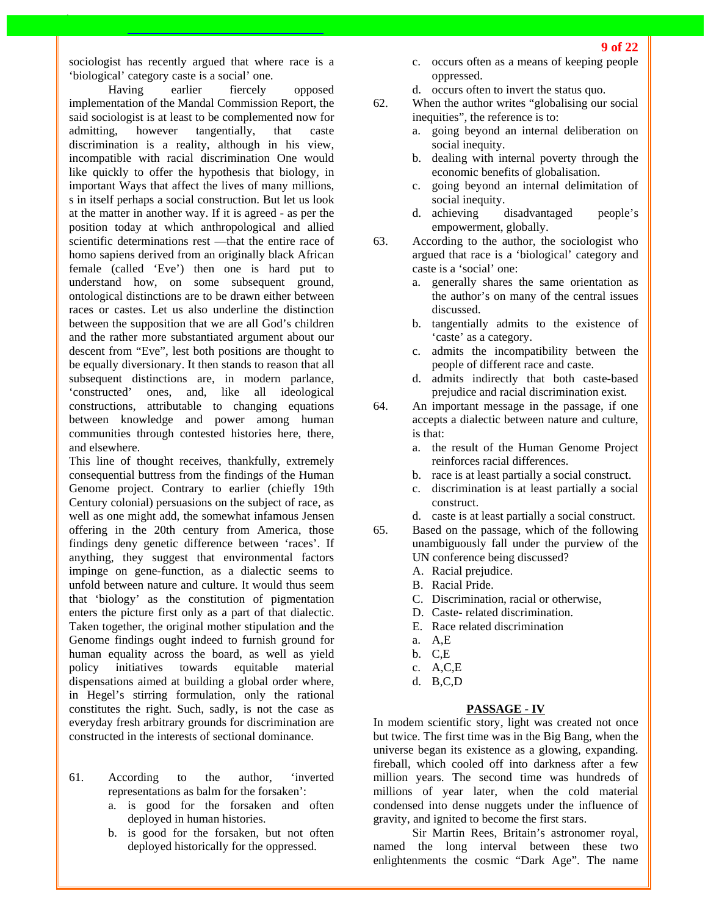sociologist has recently argued that where race is a 'biological' category caste is a social' one.

Having earlier fiercely opposed implementation of the Mandal Commission Report, the said sociologist is at least to be complemented now for admitting, however tangentially, that caste discrimination is a reality, although in his view, incompatible with racial discrimination One would like quickly to offer the hypothesis that biology, in important Ways that affect the lives of many millions, s in itself perhaps a social construction. But let us look at the matter in another way. If it is agreed - as per the position today at which anthropological and allied scientific determinations rest —that the entire race of homo sapiens derived from an originally black African female (called 'Eve') then one is hard put to understand how, on some subsequent ground, ontological distinctions are to be drawn either between races or castes. Let us also underline the distinction between the supposition that we are all God's children and the rather more substantiated argument about our descent from "Eve", lest both positions are thought to be equally diversionary. It then stands to reason that all subsequent distinctions are, in modern parlance, 'constructed' ones, and, like all ideological constructions, attributable to changing equations between knowledge and power among human communities through contested histories here, there, and elsewhere.

This line of thought receives, thankfully, extremely consequential buttress from the findings of the Human Genome project. Contrary to earlier (chiefly 19th Century colonial) persuasions on the subject of race, as well as one might add, the somewhat infamous Jensen offering in the 20th century from America, those findings deny genetic difference between 'races'. If anything, they suggest that environmental factors impinge on gene-function, as a dialectic seems to unfold between nature and culture. It would thus seem that 'biology' as the constitution of pigmentation enters the picture first only as a part of that dialectic. Taken together, the original mother stipulation and the Genome findings ought indeed to furnish ground for human equality across the board, as well as yield policy initiatives towards equitable material dispensations aimed at building a global order where, in Hegel's stirring formulation, only the rational constitutes the right. Such, sadly, is not the case as everyday fresh arbitrary grounds for discrimination are constructed in the interests of sectional dominance.

- 61. According to the author, 'inverted representations as balm for the forsaken':
	- a. is good for the forsaken and often deployed in human histories.
	- b. is good for the forsaken, but not often deployed historically for the oppressed.
- c. occurs often as a means of keeping people oppressed.
- d. occurs often to invert the status quo.
- 62. When the author writes "globalising our social inequities", the reference is to:
	- a. going beyond an internal deliberation on social inequity.
	- b. dealing with internal poverty through the economic benefits of globalisation.
	- c. going beyond an internal delimitation of social inequity.
	- d. achieving disadvantaged people's empowerment, globally.
- 63. According to the author, the sociologist who argued that race is a 'biological' category and caste is a 'social' one:
	- a. generally shares the same orientation as the author's on many of the central issues discussed.
	- b. tangentially admits to the existence of 'caste' as a category.
	- c. admits the incompatibility between the people of different race and caste.
	- d. admits indirectly that both caste-based prejudice and racial discrimination exist.
- 64. An important message in the passage, if one accepts a dialectic between nature and culture, is that:
	- a. the result of the Human Genome Project reinforces racial differences.
	- b. race is at least partially a social construct.
	- c. discrimination is at least partially a social construct.
	- d. caste is at least partially a social construct.
- 65. Based on the passage, which of the following unambiguously fall under the purview of the UN conference being discussed?
	- A. Racial prejudice.
	- B. Racial Pride.
	- C. Discrimination, racial or otherwise,
	- D. Caste- related discrimination.
	- E. Race related discrimination
	- a. A,E
	- b. C,E
	- c. A,C,E
	- d. B,C,D

# **PASSAGE - IV**

In modem scientific story, light was created not once but twice. The first time was in the Big Bang, when the universe began its existence as a glowing, expanding. fireball, which cooled off into darkness after a few million years. The second time was hundreds of millions of year later, when the cold material condensed into dense nuggets under the influence of gravity, and ignited to become the first stars.

Sir Martin Rees, Britain's astronomer royal, named the long interval between these two enlightenments the cosmic "Dark Age". The name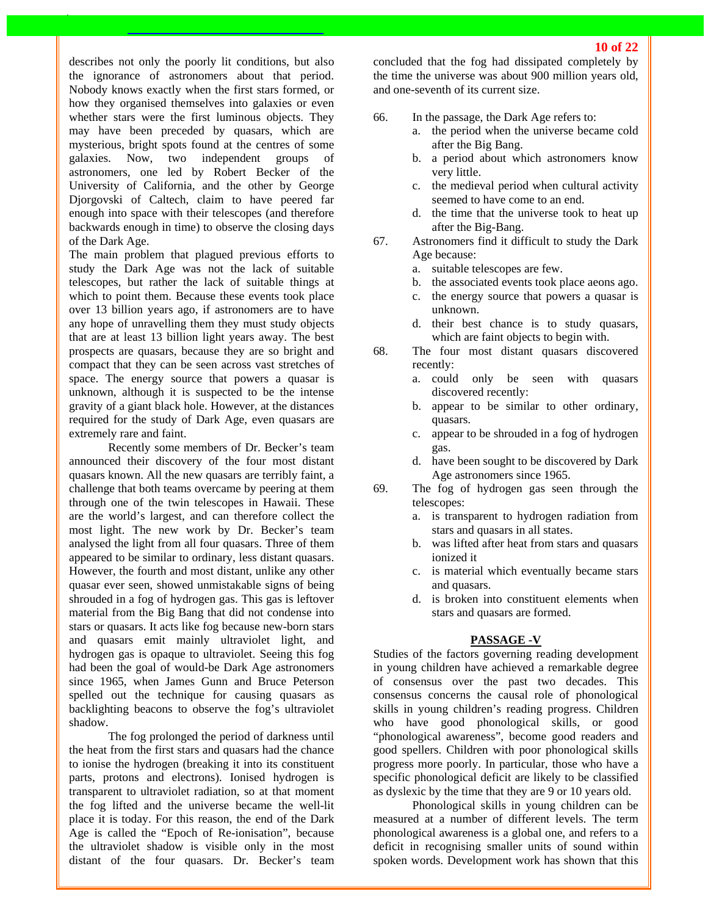describes not only the poorly lit conditions, but also the ignorance of astronomers about that period. Nobody knows exactly when the first stars formed, or how they organised themselves into galaxies or even whether stars were the first luminous objects. They may have been preceded by quasars, which are mysterious, bright spots found at the centres of some galaxies. Now, two independent groups of astronomers, one led by Robert Becker of the University of California, and the other by George Djorgovski of Caltech, claim to have peered far enough into space with their telescopes (and therefore backwards enough in time) to observe the closing days of the Dark Age.

The main problem that plagued previous efforts to study the Dark Age was not the lack of suitable telescopes, but rather the lack of suitable things at which to point them. Because these events took place over 13 billion years ago, if astronomers are to have any hope of unravelling them they must study objects that are at least 13 billion light years away. The best prospects are quasars, because they are so bright and compact that they can be seen across vast stretches of space. The energy source that powers a quasar is unknown, although it is suspected to be the intense gravity of a giant black hole. However, at the distances required for the study of Dark Age, even quasars are extremely rare and faint.

Recently some members of Dr. Becker's team announced their discovery of the four most distant quasars known. All the new quasars are terribly faint, a challenge that both teams overcame by peering at them through one of the twin telescopes in Hawaii. These are the world's largest, and can therefore collect the most light. The new work by Dr. Becker's team analysed the light from all four quasars. Three of them appeared to be similar to ordinary, less distant quasars. However, the fourth and most distant, unlike any other quasar ever seen, showed unmistakable signs of being shrouded in a fog of hydrogen gas. This gas is leftover material from the Big Bang that did not condense into stars or quasars. It acts like fog because new-born stars and quasars emit mainly ultraviolet light, and hydrogen gas is opaque to ultraviolet. Seeing this fog had been the goal of would-be Dark Age astronomers since 1965, when James Gunn and Bruce Peterson spelled out the technique for causing quasars as backlighting beacons to observe the fog's ultraviolet shadow.

The fog prolonged the period of darkness until the heat from the first stars and quasars had the chance to ionise the hydrogen (breaking it into its constituent parts, protons and electrons). Ionised hydrogen is transparent to ultraviolet radiation, so at that moment the fog lifted and the universe became the well-lit place it is today. For this reason, the end of the Dark Age is called the "Epoch of Re-ionisation", because the ultraviolet shadow is visible only in the most distant of the four quasars. Dr. Becker's team concluded that the fog had dissipated completely by the time the universe was about 900 million years old, and one-seventh of its current size.

- 66. In the passage, the Dark Age refers to:
	- a. the period when the universe became cold after the Big Bang.
	- b. a period about which astronomers know very little.
	- c. the medieval period when cultural activity seemed to have come to an end.
	- d. the time that the universe took to heat up after the Big-Bang.
- 67. Astronomers find it difficult to study the Dark Age because:
	- a. suitable telescopes are few.
	- b. the associated events took place aeons ago.
	- c. the energy source that powers a quasar is unknown.
	- d. their best chance is to study quasars, which are faint objects to begin with.
- 68. The four most distant quasars discovered recently:
	- a. could only be seen with quasars discovered recently:
	- b. appear to be similar to other ordinary, quasars.
	- c. appear to be shrouded in a fog of hydrogen gas.
	- d. have been sought to be discovered by Dark Age astronomers since 1965.
- 69. The fog of hydrogen gas seen through the telescopes:
	- a. is transparent to hydrogen radiation from stars and quasars in all states.
	- b. was lifted after heat from stars and quasars ionized it
	- c. is material which eventually became stars and quasars.
	- d. is broken into constituent elements when stars and quasars are formed.

# **PASSAGE -V**

Studies of the factors governing reading development in young children have achieved a remarkable degree of consensus over the past two decades. This consensus concerns the causal role of phonological skills in young children's reading progress. Children who have good phonological skills, or good "phonological awareness", become good readers and good spellers. Children with poor phonological skills progress more poorly. In particular, those who have a specific phonological deficit are likely to be classified as dyslexic by the time that they are 9 or 10 years old.

Phonological skills in young children can be measured at a number of different levels. The term phonological awareness is a global one, and refers to a deficit in recognising smaller units of sound within spoken words. Development work has shown that this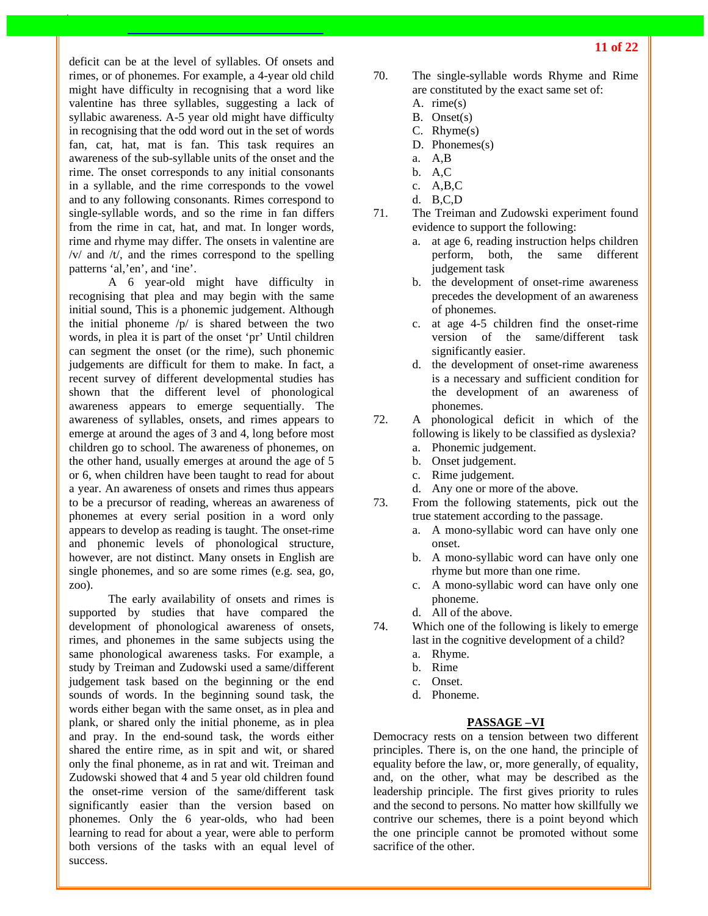deficit can be at the level of syllables. Of onsets and rimes, or of phonemes. For example, a 4-year old child might have difficulty in recognising that a word like valentine has three syllables, suggesting a lack of syllabic awareness. A-5 year old might have difficulty in recognising that the odd word out in the set of words fan, cat, hat, mat is fan. This task requires an awareness of the sub-syllable units of the onset and the rime. The onset corresponds to any initial consonants in a syllable, and the rime corresponds to the vowel and to any following consonants. Rimes correspond to single-syllable words, and so the rime in fan differs from the rime in cat, hat, and mat. In longer words, rime and rhyme may differ. The onsets in valentine are /v/ and /t/, and the rimes correspond to the spelling patterns 'al,'en', and 'ine'.

A 6 year-old might have difficulty in recognising that plea and may begin with the same initial sound, This is a phonemic judgement. Although the initial phoneme /p/ is shared between the two words, in plea it is part of the onset 'pr' Until children can segment the onset (or the rime), such phonemic judgements are difficult for them to make. In fact, a recent survey of different developmental studies has shown that the different level of phonological awareness appears to emerge sequentially. The awareness of syllables, onsets, and rimes appears to emerge at around the ages of 3 and 4, long before most children go to school. The awareness of phonemes, on the other hand, usually emerges at around the age of 5 or 6, when children have been taught to read for about a year. An awareness of onsets and rimes thus appears to be a precursor of reading, whereas an awareness of phonemes at every serial position in a word only appears to develop as reading is taught. The onset-rime and phonemic levels of phonological structure, however, are not distinct. Many onsets in English are single phonemes, and so are some rimes (e.g. sea, go, zoo).

The early availability of onsets and rimes is supported by studies that have compared the development of phonological awareness of onsets, rimes, and phonemes in the same subjects using the same phonological awareness tasks. For example, a study by Treiman and Zudowski used a same/different judgement task based on the beginning or the end sounds of words. In the beginning sound task, the words either began with the same onset, as in plea and plank, or shared only the initial phoneme, as in plea and pray. In the end-sound task, the words either shared the entire rime, as in spit and wit, or shared only the final phoneme, as in rat and wit. Treiman and Zudowski showed that 4 and 5 year old children found the onset-rime version of the same/different task significantly easier than the version based on phonemes. Only the 6 year-olds, who had been learning to read for about a year, were able to perform both versions of the tasks with an equal level of success.

- 70. The single-syllable words Rhyme and Rime are constituted by the exact same set of:
	- A. rime(s)
	- B. Onset(s)
	- C. Rhyme(s)
	- D. Phonemes(s)
	- a. A,B
	- b. A,C
	- c. A,B,C
	- d. B,C,D
- 71. The Treiman and Zudowski experiment found evidence to support the following:
	- a. at age 6, reading instruction helps children perform, both, the same different judgement task
	- b. the development of onset-rime awareness precedes the development of an awareness of phonemes.
	- c. at age 4-5 children find the onset-rime version of the same/different task significantly easier.
	- d. the development of onset-rime awareness is a necessary and sufficient condition for the development of an awareness of phonemes.
- 72. A phonological deficit in which of the following is likely to be classified as dyslexia?
	- a. Phonemic judgement.
	- b. Onset judgement.
	- c. Rime judgement.
	- d. Any one or more of the above.
- 73. From the following statements, pick out the true statement according to the passage.
	- a. A mono-syllabic word can have only one onset.
	- b. A mono-syllabic word can have only one rhyme but more than one rime.
	- c. A mono-syllabic word can have only one phoneme.
	- d. All of the above.
- 74. Which one of the following is likely to emerge last in the cognitive development of a child?
	- a. Rhyme.
	- b. Rime
	- c. Onset.
	- d. Phoneme.

# **PASSAGE –VI**

Democracy rests on a tension between two different principles. There is, on the one hand, the principle of equality before the law, or, more generally, of equality, and, on the other, what may be described as the leadership principle. The first gives priority to rules and the second to persons. No matter how skillfully we contrive our schemes, there is a point beyond which the one principle cannot be promoted without some sacrifice of the other.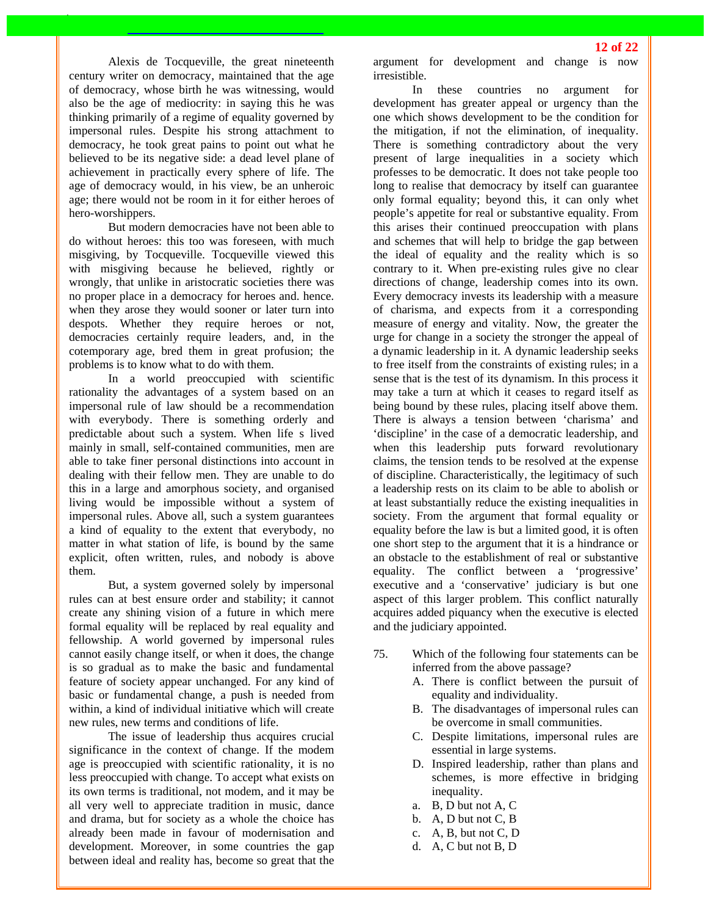Alexis de Tocqueville, the great nineteenth century writer on democracy, maintained that the age of democracy, whose birth he was witnessing, would also be the age of mediocrity: in saying this he was thinking primarily of a regime of equality governed by impersonal rules. Despite his strong attachment to democracy, he took great pains to point out what he believed to be its negative side: a dead level plane of achievement in practically every sphere of life. The age of democracy would, in his view, be an unheroic age; there would not be room in it for either heroes of hero-worshippers.

But modern democracies have not been able to do without heroes: this too was foreseen, with much misgiving, by Tocqueville. Tocqueville viewed this with misgiving because he believed, rightly or wrongly, that unlike in aristocratic societies there was no proper place in a democracy for heroes and. hence. when they arose they would sooner or later turn into despots. Whether they require heroes or not, democracies certainly require leaders, and, in the cotemporary age, bred them in great profusion; the problems is to know what to do with them.

In a world preoccupied with scientific rationality the advantages of a system based on an impersonal rule of law should be a recommendation with everybody. There is something orderly and predictable about such a system. When life s lived mainly in small, self-contained communities, men are able to take finer personal distinctions into account in dealing with their fellow men. They are unable to do this in a large and amorphous society, and organised living would be impossible without a system of impersonal rules. Above all, such a system guarantees a kind of equality to the extent that everybody, no matter in what station of life, is bound by the same explicit, often written, rules, and nobody is above them.

But, a system governed solely by impersonal rules can at best ensure order and stability; it cannot create any shining vision of a future in which mere formal equality will be replaced by real equality and fellowship. A world governed by impersonal rules cannot easily change itself, or when it does, the change is so gradual as to make the basic and fundamental feature of society appear unchanged. For any kind of basic or fundamental change, a push is needed from within, a kind of individual initiative which will create new rules, new terms and conditions of life.

The issue of leadership thus acquires crucial significance in the context of change. If the modem age is preoccupied with scientific rationality, it is no less preoccupied with change. To accept what exists on its own terms is traditional, not modem, and it may be all very well to appreciate tradition in music, dance and drama, but for society as a whole the choice has already been made in favour of modernisation and development. Moreover, in some countries the gap between ideal and reality has, become so great that the

argument for development and change is now irresistible.

In these countries no argument for development has greater appeal or urgency than the one which shows development to be the condition for the mitigation, if not the elimination, of inequality. There is something contradictory about the very present of large inequalities in a society which professes to be democratic. It does not take people too long to realise that democracy by itself can guarantee only formal equality; beyond this, it can only whet people's appetite for real or substantive equality. From this arises their continued preoccupation with plans and schemes that will help to bridge the gap between the ideal of equality and the reality which is so contrary to it. When pre-existing rules give no clear directions of change, leadership comes into its own. Every democracy invests its leadership with a measure of charisma, and expects from it a corresponding measure of energy and vitality. Now, the greater the urge for change in a society the stronger the appeal of a dynamic leadership in it. A dynamic leadership seeks to free itself from the constraints of existing rules; in a sense that is the test of its dynamism. In this process it may take a turn at which it ceases to regard itself as being bound by these rules, placing itself above them. There is always a tension between 'charisma' and 'discipline' in the case of a democratic leadership, and when this leadership puts forward revolutionary claims, the tension tends to be resolved at the expense of discipline. Characteristically, the legitimacy of such a leadership rests on its claim to be able to abolish or at least substantially reduce the existing inequalities in society. From the argument that formal equality or equality before the law is but a limited good, it is often one short step to the argument that it is a hindrance or an obstacle to the establishment of real or substantive equality. The conflict between a 'progressive' executive and a 'conservative' judiciary is but one aspect of this larger problem. This conflict naturally acquires added piquancy when the executive is elected and the judiciary appointed.

- 75. Which of the following four statements can be inferred from the above passage?
	- A. There is conflict between the pursuit of equality and individuality.
	- B. The disadvantages of impersonal rules can be overcome in small communities.
	- C. Despite limitations, impersonal rules are essential in large systems.
	- D. Inspired leadership, rather than plans and schemes, is more effective in bridging inequality.
	- a. B, D but not A, C
	- b. A, D but not C, B
	- c. A, B, but not C, D
	- d. A, C but not B, D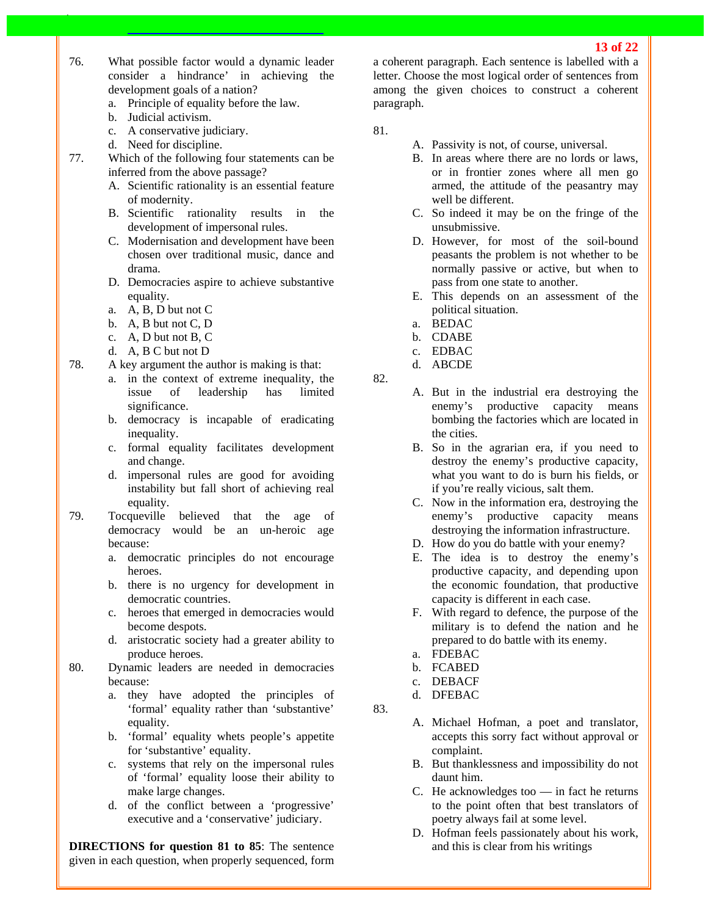- 76. What possible factor would a dynamic leader consider a hindrance' in achieving the development goals of a nation?
	- a. Principle of equality before the law.
	- b. Judicial activism.
	- c. A conservative judiciary.
	- d. Need for discipline.
- 77. Which of the following four statements can be inferred from the above passage?
	- A. Scientific rationality is an essential feature of modernity.
	- B. Scientific rationality results in the development of impersonal rules.
	- C. Modernisation and development have been chosen over traditional music, dance and drama.
	- D. Democracies aspire to achieve substantive equality.
	- a. A, B, D but not C
	- b. A, B but not C, D
	- c. A, D but not B, C
	- d. A, B C but not D
- 78. A key argument the author is making is that:
	- a. in the context of extreme inequality, the issue of leadership has limited significance.
	- b. democracy is incapable of eradicating inequality.
	- c. formal equality facilitates development and change.
	- d. impersonal rules are good for avoiding instability but fall short of achieving real equality.
- 79. Tocqueville believed that the age of democracy would be an un-heroic age because:
	- a. democratic principles do not encourage heroes.
	- b. there is no urgency for development in democratic countries.
	- c. heroes that emerged in democracies would become despots.
	- d. aristocratic society had a greater ability to produce heroes.
- 80. Dynamic leaders are needed in democracies because:
	- a. they have adopted the principles of 'formal' equality rather than 'substantive' equality.
	- b. 'formal' equality whets people's appetite for 'substantive' equality.
	- c. systems that rely on the impersonal rules of 'formal' equality loose their ability to make large changes.
	- d. of the conflict between a 'progressive' executive and a 'conservative' judiciary.

**DIRECTIONS for question 81 to 85**: The sentence given in each question, when properly sequenced, form a coherent paragraph. Each sentence is labelled with a letter. Choose the most logical order of sentences from among the given choices to construct a coherent paragraph.

81.

- A. Passivity is not, of course, universal.
- B. In areas where there are no lords or laws, or in frontier zones where all men go armed, the attitude of the peasantry may well be different.
- C. So indeed it may be on the fringe of the unsubmissive.
- D. However, for most of the soil-bound peasants the problem is not whether to be normally passive or active, but when to pass from one state to another.
- E. This depends on an assessment of the political situation.
- a. BEDAC
- b. CDABE
- c. EDBAC d. ABCDE
- 82.
- A. But in the industrial era destroying the enemy's productive capacity means bombing the factories which are located in the cities.
- B. So in the agrarian era, if you need to destroy the enemy's productive capacity, what you want to do is burn his fields, or if you're really vicious, salt them.
- C. Now in the information era, destroying the enemy's productive capacity means destroying the information infrastructure.
- D. How do you do battle with your enemy?
- E. The idea is to destroy the enemy's productive capacity, and depending upon the economic foundation, that productive capacity is different in each case.
- F. With regard to defence, the purpose of the military is to defend the nation and he prepared to do battle with its enemy.
- a. FDEBAC
- b. FCABED
- c. DEBACF
- d. DFEBAC
- 83.
- A. Michael Hofman, a poet and translator, accepts this sorry fact without approval or complaint.
- B. But thanklessness and impossibility do not daunt him.
- C. He acknowledges too in fact he returns to the point often that best translators of poetry always fail at some level.
- D. Hofman feels passionately about his work, and this is clear from his writings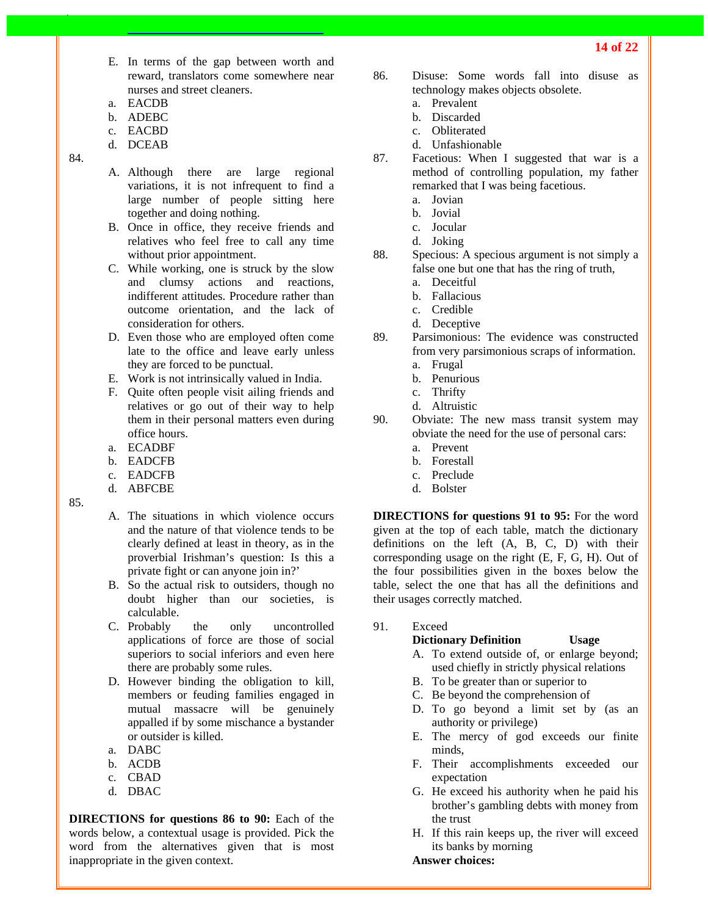- E. In terms of the gap between worth and reward, translators come somewhere near nurses and street cleaners.
- a. EACDB
- b. ADEBC
- c. EACBD
- d. DCEAB

84.

- A. Although there are large regional variations, it is not infrequent to find a large number of people sitting here together and doing nothing.
- B. Once in office, they receive friends and relatives who feel free to call any time without prior appointment.
- C. While working, one is struck by the slow and clumsy actions and reactions, indifferent attitudes. Procedure rather than outcome orientation, and the lack of consideration for others.
- D. Even those who are employed often come late to the office and leave early unless they are forced to be punctual.
- E. Work is not intrinsically valued in India.
- F. Quite often people visit ailing friends and relatives or go out of their way to help them in their personal matters even during office hours.
- a. ECADBF
- b. EADCFB
- c. EADCFB
- d. ABFCBE
- 85.
- A. The situations in which violence occurs and the nature of that violence tends to be clearly defined at least in theory, as in the proverbial Irishman's question: Is this a private fight or can anyone join in?'
- B. So the actual risk to outsiders, though no doubt higher than our societies, is calculable.
- C. Probably the only uncontrolled applications of force are those of social superiors to social inferiors and even here there are probably some rules.
- D. However binding the obligation to kill, members or feuding families engaged in mutual massacre will be genuinely appalled if by some mischance a bystander or outsider is killed.
- a. DABC
- b. ACDB
- c. CBAD
- d. DBAC

**DIRECTIONS for questions 86 to 90:** Each of the words below, a contextual usage is provided. Pick the word from the alternatives given that is most inappropriate in the given context.

- 86. Disuse: Some words fall into disuse as technology makes objects obsolete.
	- a. Prevalent
	- b. Discarded
	- c. Obliterated
	- d. Unfashionable
- 87. Facetious: When I suggested that war is a method of controlling population, my father remarked that I was being facetious.
	- a. Jovian
	- b. Jovial
	- c. Jocular
	- d. Joking
- 88. Specious: A specious argument is not simply a false one but one that has the ring of truth,
	- a. Deceitful
	- b. Fallacious
	- c. Credible
	- d. Deceptive
- 89. Parsimonious: The evidence was constructed from very parsimonious scraps of information.
	- a. Frugal
	- b. Penurious
	- c. Thrifty
	- d. Altruistic
- 90. Obviate: The new mass transit system may obviate the need for the use of personal cars:
	- a. Prevent
	- b. Forestall
	- c. Preclude
	- d. Bolster

**DIRECTIONS for questions 91 to 95:** For the word given at the top of each table, match the dictionary definitions on the left (A, B, C, D) with their corresponding usage on the right (E, F, G, H). Out of the four possibilities given in the boxes below the table, select the one that has all the definitions and their usages correctly matched.

91. Exceed

# **Dictionary Definition Usage**

- A. To extend outside of, or enlarge beyond; used chiefly in strictly physical relations
- B. To be greater than or superior to
- C. Be beyond the comprehension of
- D. To go beyond a limit set by (as an authority or privilege)
- E. The mercy of god exceeds our finite minds,
- F. Their accomplishments exceeded our expectation
- G. He exceed his authority when he paid his brother's gambling debts with money from the trust
- H. If this rain keeps up, the river will exceed its banks by morning

# **Answer choices:**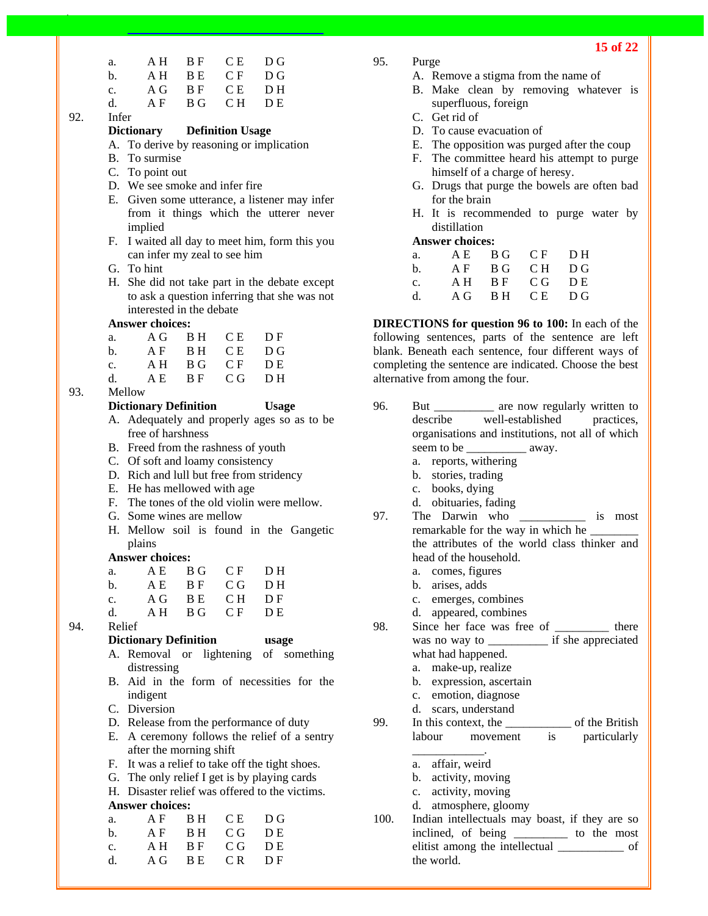| a.             |     | AH BF CE DG |  |
|----------------|-----|-------------|--|
| b.             |     | AH BE CF DG |  |
| $\mathbf{c}$ . |     | AG BF CE DH |  |
| d.             | A F | BG CH DE    |  |

## 92. Infer

#### **Dictionary Definition Usage**

- A. To derive by reasoning or implication
- B. To surmise
- C. To point out
- D. We see smoke and infer fire
- E. Given some utterance, a listener may infer from it things which the utterer never implied
- F. I waited all day to meet him, form this you can infer my zeal to see him
- G. To hint
- H. She did not take part in the debate except to ask a question inferring that she was not interested in the debate

## **Answer choices:**

| a. |  | AG BH CE DF |  |
|----|--|-------------|--|
| b. |  | AF BH CE DG |  |
| C. |  | AH BG CF DE |  |
| d. |  | AE BF CG DH |  |

#### 93. Mellow

# **Dictionary Definition Usage**

- A. Adequately and properly ages so as to be free of harshness
- B. Freed from the rashness of youth
- C. Of soft and loamy consistency
- D. Rich and lull but free from stridency
- E. He has mellowed with age
- F. The tones of the old violin were mellow.
- G. Some wines are mellow
- H. Mellow soil is found in the Gangetic plains

#### **Answer choices:**

| a. |  | AE BG CF DH |  |
|----|--|-------------|--|
| b. |  | AE BF CG DH |  |
| c. |  | AG BE CH DF |  |

d. AH BG CF DE

94. Relief

## **Dictionary Definition usage**

- A. Removal or lightening of something distressing
- B. Aid in the form of necessities for the indigent
- C. Diversion
- D. Release from the performance of duty
- E. A ceremony follows the relief of a sentry after the morning shift
- F. It was a relief to take off the tight shoes.
- G. The only relief I get is by playing cards
- H. Disaster relief was offered to the victims. **Answer choices:**

| a.             | A F | BH CE DG    |  |
|----------------|-----|-------------|--|
| $\mathbf{b}$ . | A F | BH CG DE    |  |
| $c_{\cdot}$    |     | AH BF CG DE |  |
| d.             |     | AG BE CR DF |  |

- 95. Purge
	- A. Remove a stigma from the name of
	- B. Make clean by removing whatever is superfluous, foreign
	- C. Get rid of
	- D. To cause evacuation of
	- E. The opposition was purged after the coup
	- F. The committee heard his attempt to purge himself of a charge of heresy.
	- G. Drugs that purge the bowels are often bad for the brain
	- H. It is recommended to purge water by distillation

#### **Answer choices:**

| a. | AE  |     | BG CF DH    |  |
|----|-----|-----|-------------|--|
| b. |     |     | AF BG CH DG |  |
| c. | A H |     | BF CG DE    |  |
| d. | A G | BH. | CE DG       |  |

**DIRECTIONS for question 96 to 100:** In each of the following sentences, parts of the sentence are left blank. Beneath each sentence, four different ways of completing the sentence are indicated. Choose the best alternative from among the four.

- 96. But \_\_\_\_\_\_\_\_\_\_\_\_ are now regularly written to describe well-established practices, organisations and institutions, not all of which seem to be \_\_\_\_\_\_\_\_\_\_\_\_\_ away.
	- a. reports, withering
	- b. stories, trading
	- c. books, dying
	- d. obituaries, fading
- 97. The Darwin who \_\_\_\_\_\_\_\_\_\_\_\_\_ is most remarkable for the way in which he the attributes of the world class thinker and head of the household.
	- a. comes, figures
	- b. arises, adds
	- c. emerges, combines
	- d. appeared, combines
- 98. Since her face was free of \_\_\_\_\_\_\_\_\_ there was no way to \_\_\_\_\_\_\_\_\_\_\_\_\_ if she appreciated what had happened.
	- a. make-up, realize
	- b. expression, ascertain
	- c. emotion, diagnose
	- d. scars, understand
- 99. In this context, the \_\_\_\_\_\_\_\_\_\_\_ of the British labour movement is particularly
	- \_\_\_\_\_\_\_\_\_\_\_\_. a. affair, weird
	- b. activity, moving
	- c. activity, moving
	- d. atmosphere, gloomy
	-
- 100. Indian intellectuals may boast, if they are so inclined, of being \_\_\_\_\_\_\_\_\_ to the most elitist among the intellectual \_\_\_\_\_\_\_\_\_\_\_ of the world.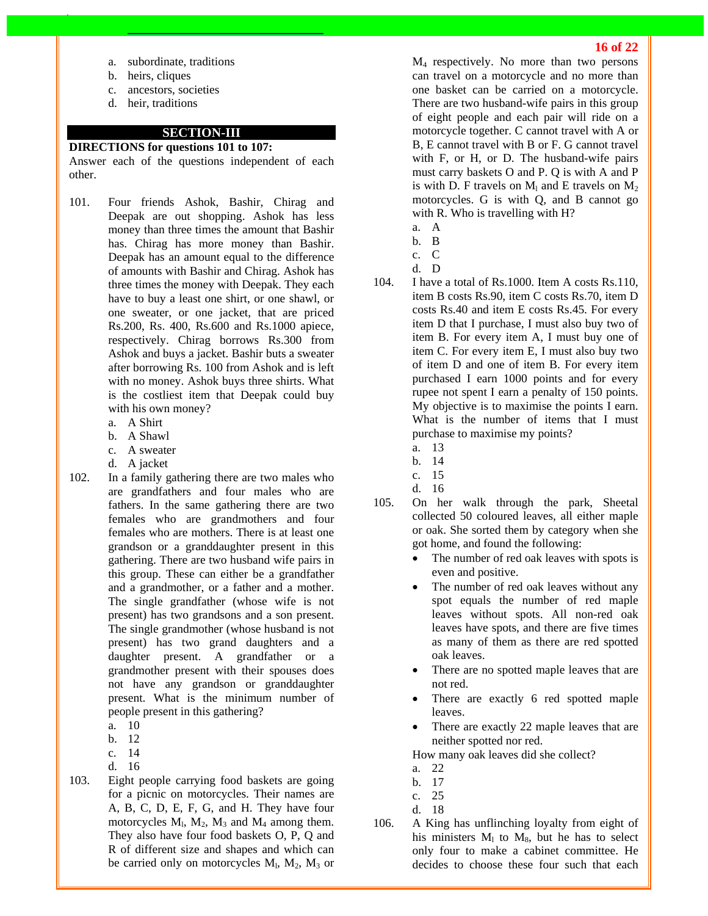- a. subordinate, traditions
- b. heirs, cliques
- c. ancestors, societies
- d. heir, traditions

# **SECTION-III**

# **DIRECTIONS for questions 101 to 107:**

Answer each of the questions independent of each other.

- 101. Four friends Ashok, Bashir, Chirag and Deepak are out shopping. Ashok has less money than three times the amount that Bashir has. Chirag has more money than Bashir. Deepak has an amount equal to the difference of amounts with Bashir and Chirag. Ashok has three times the money with Deepak. They each have to buy a least one shirt, or one shawl, or one sweater, or one jacket, that are priced Rs.200, Rs. 400, Rs.600 and Rs.1000 apiece, respectively. Chirag borrows Rs.300 from Ashok and buys a jacket. Bashir buts a sweater after borrowing Rs. 100 from Ashok and is left with no money. Ashok buys three shirts. What is the costliest item that Deepak could buy with his own money?
	- a. A Shirt
	- b. A Shawl
	- c. A sweater
	- d. A jacket
- 102. In a family gathering there are two males who are grandfathers and four males who are fathers. In the same gathering there are two females who are grandmothers and four females who are mothers. There is at least one grandson or a granddaughter present in this gathering. There are two husband wife pairs in this group. These can either be a grandfather and a grandmother, or a father and a mother. The single grandfather (whose wife is not present) has two grandsons and a son present. The single grandmother (whose husband is not present) has two grand daughters and a daughter present. A grandfather or a grandmother present with their spouses does not have any grandson or granddaughter present. What is the minimum number of people present in this gathering?
	- a. 10
	- b. 12
	- c. 14
	- d. 16
- 103. Eight people carrying food baskets are going for a picnic on motorcycles. Their names are A, B, C, D, E, F, G, and H. They have four motorcycles  $M_1$ ,  $M_2$ ,  $M_3$  and  $M_4$  among them. They also have four food baskets O, P, Q and R of different size and shapes and which can be carried only on motorcycles  $M_1$ ,  $M_2$ ,  $M_3$  or

M4 respectively. No more than two persons can travel on a motorcycle and no more than one basket can be carried on a motorcycle. There are two husband-wife pairs in this group of eight people and each pair will ride on a motorcycle together. C cannot travel with A or B, E cannot travel with B or F. G cannot travel with F, or H, or D. The husband-wife pairs must carry baskets O and P. Q is with A and P is with D. F travels on  $M_1$  and E travels on  $M_2$ motorcycles. G is with Q, and B cannot go with R. Who is travelling with H?

b. B

c. C

- 104. I have a total of Rs.1000. Item A costs Rs.110, item B costs Rs.90, item C costs Rs.70, item D costs Rs.40 and item E costs Rs.45. For every item D that I purchase, I must also buy two of item B. For every item A, I must buy one of item C. For every item E, I must also buy two of item D and one of item B. For every item purchased I earn 1000 points and for every rupee not spent I earn a penalty of 150 points. My objective is to maximise the points I earn. What is the number of items that I must purchase to maximise my points?
	- a. 13
	- b. 14
	- c. 15
	- d. 16
- 105. On her walk through the park, Sheetal collected 50 coloured leaves, all either maple or oak. She sorted them by category when she got home, and found the following:
	- The number of red oak leaves with spots is even and positive.
	- The number of red oak leaves without any spot equals the number of red maple leaves without spots. All non-red oak leaves have spots, and there are five times as many of them as there are red spotted oak leaves.
	- There are no spotted maple leaves that are not red.
	- There are exactly 6 red spotted maple leaves.
	- There are exactly 22 maple leaves that are neither spotted nor red.

How many oak leaves did she collect?

- a. 22
- b. 17
- c. 25
- d. 18
- 106. A King has unflinching loyalty from eight of his ministers  $M_1$  to  $M_8$ , but he has to select only four to make a cabinet committee. He decides to choose these four such that each

# **16 of 22**

a. A

d. D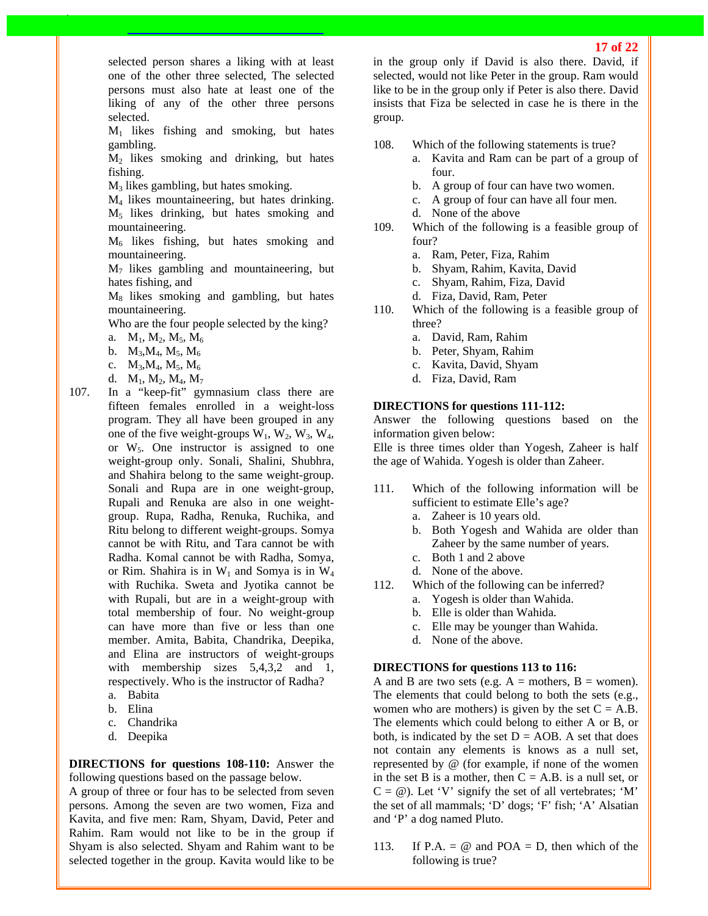selected person shares a liking with at least one of the other three selected, The selected persons must also hate at least one of the liking of any of the other three persons selected.

 $M_1$  likes fishing and smoking, but hates gambling.

 $M<sub>2</sub>$  likes smoking and drinking, but hates fishing.

 $M_3$  likes gambling, but hates smoking.

M4 likes mountaineering, but hates drinking. M5 likes drinking, but hates smoking and mountaineering.

M6 likes fishing, but hates smoking and mountaineering.

 $M<sub>7</sub>$  likes gambling and mountaineering, but hates fishing, and

M8 likes smoking and gambling, but hates mountaineering.

Who are the four people selected by the king?

- a.  $M_1, M_2, M_5, M_6$
- b.  $M_3, M_4, M_5, M_6$
- c.  $M_3, M_4, M_5, M_6$
- d.  $M_1, M_2, M_4, M_7$
- 107. In a "keep-fit" gymnasium class there are fifteen females enrolled in a weight-loss program. They all have been grouped in any one of the five weight-groups  $W_1$ ,  $W_2$ ,  $W_3$ ,  $W_4$ , or  $W_5$ . One instructor is assigned to one weight-group only. Sonali, Shalini, Shubhra, and Shahira belong to the same weight-group. Sonali and Rupa are in one weight-group, Rupali and Renuka are also in one weightgroup. Rupa, Radha, Renuka, Ruchika, and Ritu belong to different weight-groups. Somya cannot be with Ritu, and Tara cannot be with Radha. Komal cannot be with Radha, Somya, or Rim. Shahira is in  $W_1$  and Somya is in  $W_4$ with Ruchika. Sweta and Jyotika cannot be with Rupali, but are in a weight-group with total membership of four. No weight-group can have more than five or less than one member. Amita, Babita, Chandrika, Deepika, and Elina are instructors of weight-groups with membership sizes 5,4,3,2 and 1, respectively. Who is the instructor of Radha?
	- a. Babita
	- b. Elina
	- c. Chandrika
	- d. Deepika

**DIRECTIONS for questions 108-110:** Answer the following questions based on the passage below.

A group of three or four has to be selected from seven persons. Among the seven are two women, Fiza and Kavita, and five men: Ram, Shyam, David, Peter and Rahim. Ram would not like to be in the group if Shyam is also selected. Shyam and Rahim want to be selected together in the group. Kavita would like to be in the group only if David is also there. David, if selected, would not like Peter in the group. Ram would like to be in the group only if Peter is also there. David insists that Fiza be selected in case he is there in the group.

- 108. Which of the following statements is true?
	- a. Kavita and Ram can be part of a group of four.
	- b. A group of four can have two women.
	- c. A group of four can have all four men.
	- d. None of the above
- 109. Which of the following is a feasible group of four?
	- a. Ram, Peter, Fiza, Rahim
	- b. Shyam, Rahim, Kavita, David
	- c. Shyam, Rahim, Fiza, David
	- d. Fiza, David, Ram, Peter
- 110. Which of the following is a feasible group of three?
	- a. David, Ram, Rahim
	- b. Peter, Shyam, Rahim
	- c. Kavita, David, Shyam
	- d. Fiza, David, Ram

## **DIRECTIONS for questions 111-112:**

Answer the following questions based on the information given below:

Elle is three times older than Yogesh, Zaheer is half the age of Wahida. Yogesh is older than Zaheer.

- 111. Which of the following information will be sufficient to estimate Elle's age?
	- a. Zaheer is 10 years old.
	- b. Both Yogesh and Wahida are older than Zaheer by the same number of years.
	- c. Both 1 and 2 above
	- d. None of the above.
- 112. Which of the following can be inferred?
	- a. Yogesh is older than Wahida.
	- b. Elle is older than Wahida.
	- c. Elle may be younger than Wahida.
	- d. None of the above.

## **DIRECTIONS for questions 113 to 116:**

A and B are two sets (e.g.  $A =$  mothers,  $B =$  women). The elements that could belong to both the sets (e.g., women who are mothers) is given by the set  $C = A.B$ . The elements which could belong to either A or B, or both, is indicated by the set  $D = AOB$ . A set that does not contain any elements is knows as a null set, represented by @ (for example, if none of the women in the set B is a mother, then  $C = A.B.$  is a null set, or  $C = \omega$ ). Let 'V' signify the set of all vertebrates; 'M' the set of all mammals; 'D' dogs; 'F' fish; 'A' Alsatian and 'P' a dog named Pluto.

113. If P.A.  $= \omega$  and POA  $= D$ , then which of the following is true?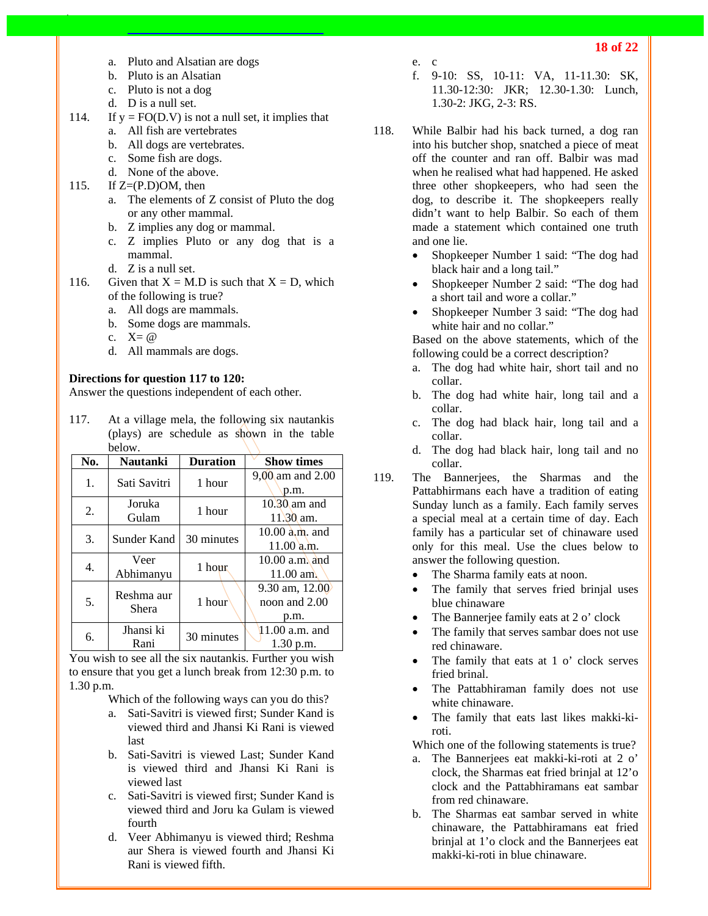**18 of 22**

- a. Pluto and Alsatian are dogs
- b. Pluto is an Alsatian
- c. Pluto is not a dog
- d. D is a null set.
- 114. If  $y = FO(D.V)$  is not a null set, it implies that
	- a. All fish are vertebrates
	- b. All dogs are vertebrates.
	- c. Some fish are dogs.
	- d. None of the above.
- 115. If  $Z=(P.D)OM$ , then
	- a. The elements of Z consist of Pluto the dog or any other mammal.
	- b. Z implies any dog or mammal.
	- c. Z implies Pluto or any dog that is a mammal.
	- d. Z is a null set.
- 116. Given that  $X = M.D$  is such that  $X = D$ , which of the following is true?
	- a. All dogs are mammals.
	- b. Some dogs are mammals.
	- c.  $X = \omega$
	- d. All mammals are dogs.

## **Directions for question 117 to 120:**

Answer the questions independent of each other.

117. At a village mela, the following six nautankis (plays) are schedule as shown in the table below.

|     | UVIV 11             |                 |                                             |
|-----|---------------------|-----------------|---------------------------------------------|
| No. | <b>Nautanki</b>     | <b>Duration</b> | <b>Show times</b>                           |
| 1.  | Sati Savitri        | 1 hour          | $9,00$ am and $2.00$<br>p.m.                |
| 2.  | Joruka<br>Gulam     | 1 hour          | $10.30$ am and<br>11.30 am.                 |
| 3.  | Sunder Kand         | 30 minutes      | 10.00 $\lambda$ m, and<br>$11.00$ a.m.      |
| 4.  | Veer<br>Abhimanyu   | 1 hour          | $10.00 a.m.$ and<br>$11.00$ am.             |
| 5.  | Reshma aur<br>Shera | 1 hour          | $9.30$ am, $12.00$<br>noon and 2.00<br>p.m. |
| 6.  | Jhansi ki<br>Rani   | 30 minutes      | $11.00$ a.m. and<br>1.30 p.m.               |

You wish to see all the six nautankis. Further you wish to ensure that you get a lunch break from 12:30 p.m. to 1.30 p.m.

Which of the following ways can you do this?

- a. Sati-Savitri is viewed first; Sunder Kand is viewed third and Jhansi Ki Rani is viewed last
- b. Sati-Savitri is viewed Last; Sunder Kand is viewed third and Jhansi Ki Rani is viewed last
- c. Sati-Savitri is viewed first; Sunder Kand is viewed third and Joru ka Gulam is viewed fourth
- d. Veer Abhimanyu is viewed third; Reshma aur Shera is viewed fourth and Jhansi Ki Rani is viewed fifth.
- e. c
- f. 9-10: SS, 10-11: VA, 11-11.30: SK, 11.30-12:30: JKR; 12.30-1.30: Lunch, 1.30-2: JKG, 2-3: RS.
- 118. While Balbir had his back turned, a dog ran into his butcher shop, snatched a piece of meat off the counter and ran off. Balbir was mad when he realised what had happened. He asked three other shopkeepers, who had seen the dog, to describe it. The shopkeepers really didn't want to help Balbir. So each of them made a statement which contained one truth and one lie.
	- Shopkeeper Number 1 said: "The dog had black hair and a long tail."
	- Shopkeeper Number 2 said: "The dog had a short tail and wore a collar."
	- Shopkeeper Number 3 said: "The dog had white hair and no collar."

 Based on the above statements, which of the following could be a correct description?

- a. The dog had white hair, short tail and no collar.
- b. The dog had white hair, long tail and a collar.
- c. The dog had black hair, long tail and a collar.
- d. The dog had black hair, long tail and no collar.
- 119. The Bannerjees, the Sharmas and the Pattabhirmans each have a tradition of eating Sunday lunch as a family. Each family serves a special meal at a certain time of day. Each family has a particular set of chinaware used only for this meal. Use the clues below to answer the following question.
	- The Sharma family eats at noon.
	- The family that serves fried brinjal uses blue chinaware
	- The Bannerjee family eats at 2 o' clock
	- The family that serves sambar does not use red chinaware.
	- The family that eats at 1 o' clock serves fried brinal.
	- The Pattabhiraman family does not use white chinaware.
	- The family that eats last likes makki-kiroti.

Which one of the following statements is true?

- a. The Bannerjees eat makki-ki-roti at 2 o' clock, the Sharmas eat fried brinjal at 12'o clock and the Pattabhiramans eat sambar from red chinaware.
- b. The Sharmas eat sambar served in white chinaware, the Pattabhiramans eat fried brinjal at 1'o clock and the Bannerjees eat makki-ki-roti in blue chinaware.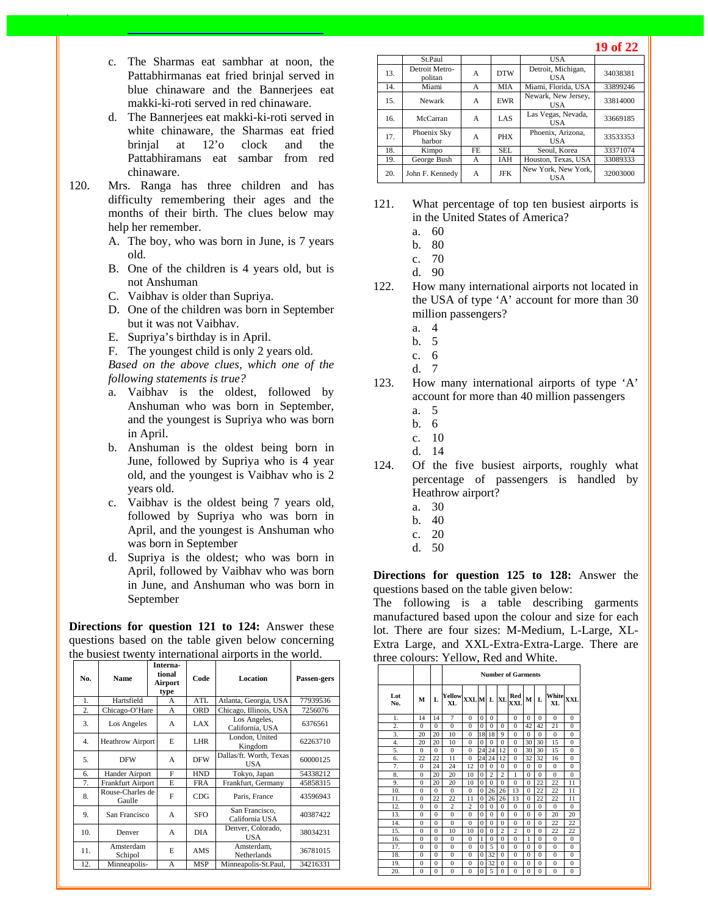- c. The Sharmas eat sambhar at noon, the Pattabhirmanas eat fried brinjal served in blue chinaware and the Bannerjees eat makki-ki-roti served in red chinaware.
- d. The Bannerjees eat makki-ki-roti served in white chinaware, the Sharmas eat fried brinjal at 12'o clock and the Pattabhiramans eat sambar from red chinaware.
- 120. Mrs. Ranga has three children and has difficulty remembering their ages and the months of their birth. The clues below may help her remember.
	- A. The boy, who was born in June, is 7 years old.
	- B. One of the children is 4 years old, but is not Anshuman
	- C. Vaibhav is older than Supriya.
	- D. One of the children was born in September but it was not Vaibhav.
	- E. Supriya's birthday is in April.
	- F. The youngest child is only 2 years old.

*Based on the above clues, which one of the following statements is true?* 

- a. Vaibhav is the oldest, followed by Anshuman who was born in September, and the youngest is Supriya who was born in April.
- b. Anshuman is the oldest being born in June, followed by Supriya who is 4 year old, and the youngest is Vaibhav who is 2 years old.
- c. Vaibhav is the oldest being 7 years old, followed by Supriya who was born in April, and the youngest is Anshuman who was born in September
- d. Supriya is the oldest; who was born in April, followed by Vaibhav who was born in June, and Anshuman who was born in September

**Directions for question 121 to 124:** Answer these questions based on the table given below concerning the busiest twenty international airports in the world.

| No.              | <b>Name</b>                | Interna-<br>tional<br>Airport<br>type | Code       | Location                         | Passen-gers |
|------------------|----------------------------|---------------------------------------|------------|----------------------------------|-------------|
| 1.               | Hartsfield                 | A                                     | <b>ATL</b> | Atlanta, Georgia, USA            | 77939536    |
| $\overline{2}$ . | Chicago-O'Hare             | A                                     | <b>ORD</b> | Chicago, Illinois, USA           | 7256076     |
| 3.               | Los Angeles                | A                                     | LAX        | Los Angeles,<br>California, USA  | 6376561     |
| 4.               | <b>Heathrow Airport</b>    | E                                     | LHR.       | London, United<br>Kingdom        | 62263710    |
| 5.               | <b>DFW</b>                 | A                                     | <b>DFW</b> | Dallas/ft. Worth. Texas<br>USA   | 60000125    |
| 6.               | Hander Airport             | F                                     | <b>HND</b> | Tokyo, Japan                     | 54338212    |
| 7.               | Frankfurt Airport          | E<br><b>FRA</b>                       |            | Frankfurt, Germany               | 45858315    |
| 8.               | Rouse-Charles de<br>Gaulle | F                                     | CDG        | Paris, France                    | 43596943    |
| 9.               | San Francisco              | A                                     | <b>SFO</b> | San Francisco.<br>California USA | 40387422    |
| 10.              | Denver                     | A                                     | DIA        | Denver, Colorado,<br>USA         | 38034231    |
| 11.              | Amsterdam<br>Schipol       | E                                     | AMS        | Amsterdam,<br>Netherlands        | 36781015    |
| 12.              | Minneapolis-               | A                                     | <b>MSP</b> | Minneapolis-St.Paul,             | 34216331    |

|     | St.Paul                   |    |            | <b>USA</b>                        |          |
|-----|---------------------------|----|------------|-----------------------------------|----------|
| 13. | Detroit Metro-<br>politan | А  | <b>DTW</b> | Detroit, Michigan,<br><b>USA</b>  | 34038381 |
| 14. | Miami                     | A  | MIA        | Miami, Florida, USA               | 33899246 |
| 15. | Newark                    | А  | <b>EWR</b> | Newark, New Jersey,<br><b>USA</b> | 33814000 |
| 16. | McCarran                  | А  | LAS        | Las Vegas, Nevada,<br><b>USA</b>  | 33669185 |
| 17. | Phoenix Sky<br>harbor     | A  | <b>PHX</b> | Phoenix, Arizona,<br><b>USA</b>   | 33533353 |
| 18. | Kimpo                     | FE | <b>SEL</b> | Seoul, Korea                      | 33371074 |
| 19. | George Bush               | А  | IAH        | Houston, Texas, USA               | 33089333 |
| 20. | John F. Kennedy           | A  | <b>JFK</b> | New York, New York,<br>USA        | 32003000 |

121. What percentage of top ten busiest airports is in the United States of America?

- a. 60
- b. 80
- c. 70
- d. 90
- 122. How many international airports not located in the USA of type 'A' account for more than 30 million passengers?
	- a. 4
	- b. 5
	- c. 6
	- d. 7
- 123. How many international airports of type 'A' account for more than 40 million passengers
	- a. 5
	- b. 6
	- c. 10
	- d. 14
- 124. Of the five busiest airports, roughly what percentage of passengers is handled by Heathrow airport?
	- a. 30
	- $h = 40$
	- c. 20
	- d. 50

**Directions for question 125 to 128:** Answer the questions based on the table given below:

The following is a table describing garments manufactured based upon the colour and size for each lot. There are four sizes: M-Medium, L-Large, XL-Extra Large, and XXL-Extra-Extra-Large. There are three colours: Yellow, Red and White.

|            |          |          | <b>Number of Garments</b> |                |              |                |                |                                      |          |          |                 |          |
|------------|----------|----------|---------------------------|----------------|--------------|----------------|----------------|--------------------------------------|----------|----------|-----------------|----------|
| Lot<br>No. | М        | L        | Yellow<br>XL              |                |              |                |                | $XXL$ M $L$ $KL$ $Red$<br><b>XXL</b> | M        | L        | White XXL<br>XL |          |
| 1.         | 14       | 14       | 7                         | $\Omega$       | $\Omega$     | $\Omega$       |                | $\Omega$                             | $\Omega$ | $\Omega$ | $\Omega$        | $\Omega$ |
| 2.         | $\Omega$ | $\Omega$ | $\Omega$                  | $\Omega$       | $\Omega$     | $\Omega$       | $\Omega$       | $\Omega$                             | 42       | 42       | 21              | $\Omega$ |
| 3.         | 20       | 20       | 10                        | $\Omega$       | 18           | 18             | 9              | $\Omega$                             | $\Omega$ | $\theta$ | $\Omega$        | $\Omega$ |
| 4.         | 20       | 20       | 10                        | $\Omega$       | $\Omega$     | $\Omega$       | $\Omega$       | $\Omega$                             | 30       | 30       | 15              | $\Omega$ |
| 5.         | $\Omega$ | $\Omega$ | $\Omega$                  | $\Omega$       | 24           | 24             | 12             | $\Omega$                             | 30       | 30       | 15              | $\Omega$ |
| 6.         | 22       | 22       | 11                        | $\theta$       | 24           | 24             | 12             | $\Omega$                             | 32       | 32       | 16              | $\theta$ |
| 7.         | $\Omega$ | 24       | 24                        | 12             | $\Omega$     | $\Omega$       | $\Omega$       | $\Omega$                             | $\Omega$ | $\Omega$ | $\Omega$        | $\Omega$ |
| 8.         | $\Omega$ | 20       | 20                        | 10             | $\Omega$     | $\overline{c}$ | $\overline{c}$ | 1                                    | $\Omega$ | $\theta$ | $\theta$        | $\Omega$ |
| 9.         | $\Omega$ | 20       | 20                        | 10             | $\mathbf{0}$ | $\Omega$       | $\Omega$       | $\theta$                             | $\theta$ | 22       | 22              | 11       |
| 10.        | $\Omega$ | $\Omega$ | $\Omega$                  | $\Omega$       | $\Omega$     | 26             | 26             | 13                                   | $\Omega$ | 22       | 22              | 11       |
| 11.        | $\Omega$ | 22       | 22                        | 11             | $\Omega$     | 26             | 26             | 13                                   | $\Omega$ | 22       | 22              | 11       |
| 12.        | $\Omega$ | $\Omega$ | $\overline{2}$            | $\overline{a}$ | $\Omega$     | $\Omega$       | $\Omega$       | $\Omega$                             | $\Omega$ | $\theta$ | $\theta$        | $\Omega$ |
| 13.        | $\theta$ | $\Omega$ | $\Omega$                  | $\theta$       | $\Omega$     | $\theta$       | $\Omega$       | $\Omega$                             | $\theta$ | $\theta$ | 20              | 20       |
| 14.        | $\Omega$ | $\Omega$ | $\Omega$                  | $\Omega$       | $\Omega$     | $\Omega$       | $\Omega$       | $\Omega$                             | $\Omega$ | $\Omega$ | 22              | 22       |
| 15.        | $\Omega$ | $\Omega$ | 10                        | 10             | $\mathbf{0}$ | $\Omega$       | $\overline{c}$ | $\overline{c}$                       | $\Omega$ | $\theta$ | 22              | 22       |
| 16.        | $\theta$ | $\Omega$ | $\Omega$                  | $\theta$       | 1            | $\theta$       | $\Omega$       | $\theta$                             | 1        | $\theta$ | $\theta$        | $\theta$ |
| 17.        | $\Omega$ | $\Omega$ | $\Omega$                  | $\Omega$       | $\Omega$     | 5              | $\Omega$       | $\Omega$                             | $\theta$ | $\theta$ | $\theta$        | $\theta$ |
| 18.        | $\theta$ | $\Omega$ | $\Omega$                  | $\theta$       | $\Omega$     | 32             | $\Omega$       | $\theta$                             | $\theta$ | $\theta$ | $\theta$        | $\theta$ |
| 19.        | $\Omega$ | $\Omega$ | $\Omega$                  | $\theta$       | $\mathbf{0}$ | 32             | $\Omega$       | $\Omega$                             | $\Omega$ | $\theta$ | $\theta$        | $\theta$ |
| 20.        | $\theta$ | $\Omega$ | $\Omega$                  | $\Omega$       | $\mathbf{0}$ | 5              | $\Omega$       | $\Omega$                             | $\theta$ | $\Omega$ | $\theta$        | $\bf{0}$ |

**19 of 22**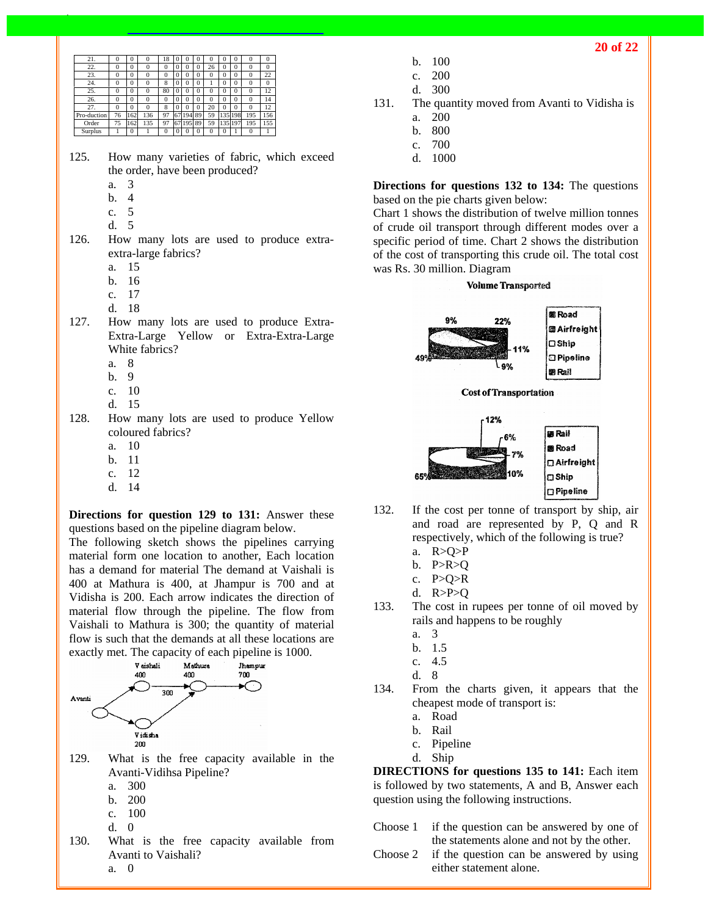| 21.         | $\Omega$ | 0        | 0            | 18       | 0              | 0        | 0            | 0        | 0              | 0        | 0        | $\bf{0}$ |
|-------------|----------|----------|--------------|----------|----------------|----------|--------------|----------|----------------|----------|----------|----------|
| 22.         | 0        | 0        | 0            | 0        | 0              | 0        | 0            | 26       | 0              | 0        | 0        | 0        |
| 23.         | $\Omega$ | 0        | $\mathbf{0}$ | 0        | 0              | $\theta$ | $\mathbf{0}$ | 0        | $\overline{0}$ | 0        | $\bf{0}$ | 22       |
| 24.         | $\Omega$ | 0        | 0            | 8        | 0              | 0        | $\bf{0}$     |          | 0              | $\theta$ | $\bf{0}$ | 0        |
| 25.         | $\Omega$ | 0        | $\mathbf{0}$ | 80       | 0              | $\theta$ | 0            | 0        | $\overline{0}$ | 0        | $\bf{0}$ | 12       |
| 26.         | $\Omega$ | 0        | $\mathbf{0}$ | 0        | 0              | $\theta$ | 0            | 0        | 0              | $\theta$ | $\Omega$ | 14       |
| 27.         | $\Omega$ | 0        | 0            | 8        | 0              | 0        | 0            | 20       | 0              | 0        | $\bf{0}$ | 12       |
| Pro-duction | 76       | 162      | 136          | 97       | 67             | 194      | 89           | 59       | 35             | 198      | 195      | 156      |
| Order       | 75       | 62       | 135          | 97       | 6 <sup>7</sup> | 195      | 89           | 59       | 35             | 197      | 195      | 155      |
| Surplus     |          | $\bf{0}$ |              | $\theta$ | $\Omega$       | $\theta$ | $\bf{0}$     | $\Omega$ | $\overline{0}$ |          | 0        |          |

- 125. How many varieties of fabric, which exceed the order, have been produced?
	- a. 3
	- b. 4
	- c. 5
	- d. 5
- 126. How many lots are used to produce extraextra-large fabrics?
	- a. 15
	- b. 16
	- c. 17
	- d. 18
- 127. How many lots are used to produce Extra-Extra-Large Yellow or Extra-Extra-Large White fabrics?
	- a. 8
	- b. 9
	- c. 10
	- d. 15
- 128. How many lots are used to produce Yellow coloured fabrics?
	- a. 10
	- b. 11
	- c. 12
	- d. 14

**Directions for question 129 to 131:** Answer these questions based on the pipeline diagram below.

The following sketch shows the pipelines carrying material form one location to another, Each location has a demand for material The demand at Vaishali is 400 at Mathura is 400, at Jhampur is 700 and at Vidisha is 200. Each arrow indicates the direction of material flow through the pipeline. The flow from Vaishali to Mathura is 300; the quantity of material flow is such that the demands at all these locations are exactly met. The capacity of each pipeline is 1000.



- 129. What is the free capacity available in the Avanti-Vidihsa Pipeline?
	- a. 300
	- b. 200
	- c. 100
	- d. 0
- 130. What is the free capacity available from Avanti to Vaishali?
	- a. 0
- b. 100
- c. 200
- d. 300
- 131. The quantity moved from Avanti to Vidisha is
	- a. 200
	- b. 800
	- c. 700
	- d. 1000

**Directions for questions 132 to 134:** The questions based on the pie charts given below:

Chart 1 shows the distribution of twelve million tonnes of crude oil transport through different modes over a specific period of time. Chart 2 shows the distribution of the cost of transporting this crude oil. The total cost was Rs. 30 million. Diagram



- 132. If the cost per tonne of transport by ship, air and road are represented by P, Q and R respectively, which of the following is true?
	- a. R>Q>P
	- b. P>R>Q
	- c.  $P > Q > R$
	- d. R>P>Q
- 133. The cost in rupees per tonne of oil moved by rails and happens to be roughly
	- a. 3
	- b. 1.5
	- c. 4.5
	- d. 8
- 134. From the charts given, it appears that the cheapest mode of transport is:
	- a. Road
	- b. Rail
	- c. Pipeline
	- d. Ship

**DIRECTIONS for questions 135 to 141:** Each item is followed by two statements, A and B, Answer each question using the following instructions.

- Choose 1 if the question can be answered by one of the statements alone and not by the other.
- Choose 2 if the question can be answered by using either statement alone.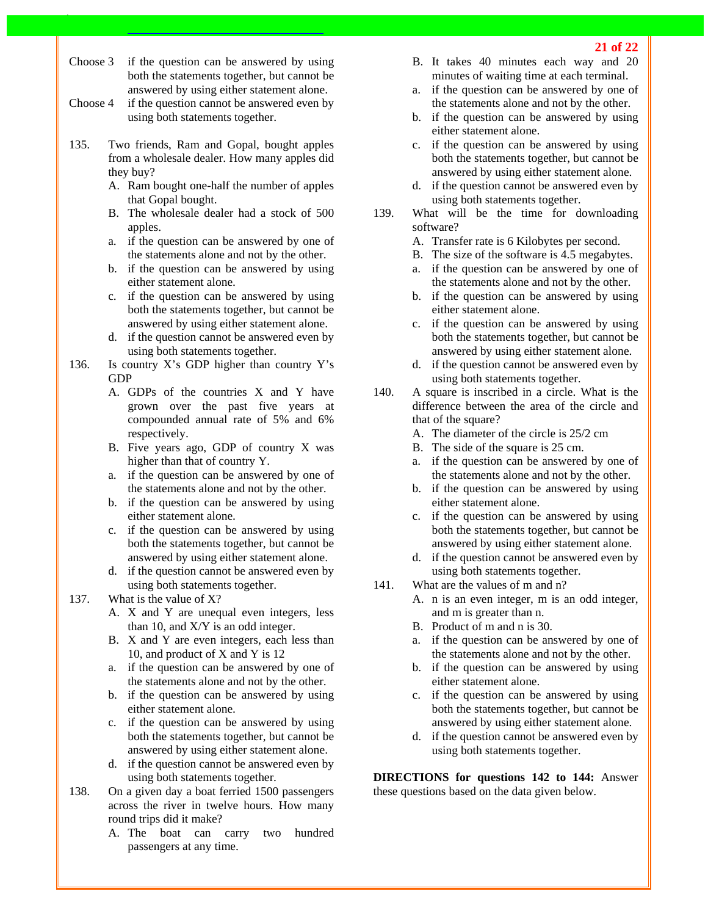- Choose 3 if the question can be answered by using both the statements together, but cannot be answered by using either statement alone.
- Choose 4 if the question cannot be answered even by using both statements together.
- 135. Two friends, Ram and Gopal, bought apples from a wholesale dealer. How many apples did they buy?
	- A. Ram bought one-half the number of apples that Gopal bought.
	- B. The wholesale dealer had a stock of 500 apples.
	- a. if the question can be answered by one of the statements alone and not by the other.
	- b. if the question can be answered by using either statement alone.
	- c. if the question can be answered by using both the statements together, but cannot be answered by using either statement alone.
	- d. if the question cannot be answered even by using both statements together.
- 136. Is country  $X$ 's GDP higher than country  $Y$ 's **GDP** 
	- A. GDPs of the countries X and Y have grown over the past five years at compounded annual rate of 5% and 6% respectively.
	- B. Five years ago, GDP of country X was higher than that of country Y.
	- a. if the question can be answered by one of the statements alone and not by the other.
	- b. if the question can be answered by using either statement alone.
	- c. if the question can be answered by using both the statements together, but cannot be answered by using either statement alone.
	- d. if the question cannot be answered even by using both statements together.
- 137. What is the value of X?
	- A. X and Y are unequal even integers, less than 10, and X/Y is an odd integer.
	- B. X and Y are even integers, each less than 10, and product of X and Y is 12
	- a. if the question can be answered by one of the statements alone and not by the other.
	- b. if the question can be answered by using either statement alone.
	- c. if the question can be answered by using both the statements together, but cannot be answered by using either statement alone.
	- d. if the question cannot be answered even by using both statements together.
- 138. On a given day a boat ferried 1500 passengers across the river in twelve hours. How many round trips did it make?
	- A. The boat can carry two hundred passengers at any time.
- B. It takes 40 minutes each way and 20 minutes of waiting time at each terminal.
- a. if the question can be answered by one of the statements alone and not by the other.
- b. if the question can be answered by using either statement alone.
- c. if the question can be answered by using both the statements together, but cannot be answered by using either statement alone.
- d. if the question cannot be answered even by using both statements together.
- 139. What will be the time for downloading software?
	- A. Transfer rate is 6 Kilobytes per second.
	- B. The size of the software is 4.5 megabytes.
	- a. if the question can be answered by one of the statements alone and not by the other.
	- b. if the question can be answered by using either statement alone.
	- c. if the question can be answered by using both the statements together, but cannot be answered by using either statement alone.
	- d. if the question cannot be answered even by using both statements together.
- 140. A square is inscribed in a circle. What is the difference between the area of the circle and that of the square?
	- A. The diameter of the circle is 25/2 cm
	- B. The side of the square is 25 cm.
	- a. if the question can be answered by one of the statements alone and not by the other.
	- b. if the question can be answered by using either statement alone.
	- c. if the question can be answered by using both the statements together, but cannot be answered by using either statement alone.
	- d. if the question cannot be answered even by using both statements together.
- 141. What are the values of m and n?
	- A. n is an even integer, m is an odd integer, and m is greater than n.
	- B. Product of m and n is 30.
	- a. if the question can be answered by one of the statements alone and not by the other.
	- b. if the question can be answered by using either statement alone.
	- c. if the question can be answered by using both the statements together, but cannot be answered by using either statement alone.
	- d. if the question cannot be answered even by using both statements together.

**DIRECTIONS for questions 142 to 144:** Answer these questions based on the data given below.

# **21 of 22**